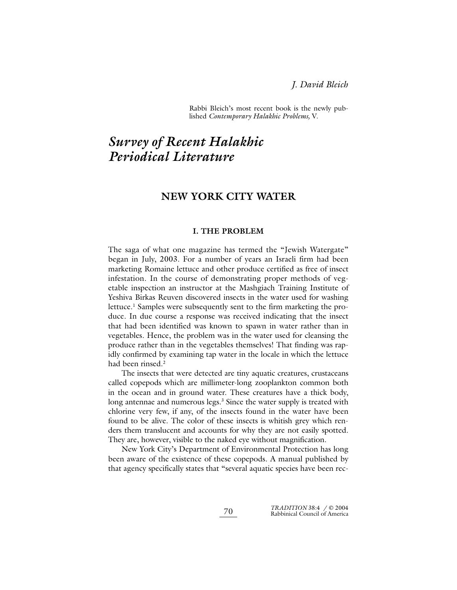Rabbi Bleich's most recent book is the newly published *Contemporary Halakhic Problems,* V.

# *Survey of Recent Halakhic Periodical Literature*

# **NEW YORK CITY WATER**

#### **I. THE PROBLEM**

The saga of what one magazine has termed the "Jewish Watergate" began in July, 2003. For a number of years an Israeli firm had been marketing Romaine lettuce and other produce certified as free of insect infestation. In the course of demonstrating proper methods of vegetable inspection an instructor at the Mashgiach Training Institute of Yeshiva Birkas Reuven discovered insects in the water used for washing lettuce.<sup>1</sup> Samples were subsequently sent to the firm marketing the produce. In due course a response was received indicating that the insect that had been identified was known to spawn in water rather than in vegetables. Hence, the problem was in the water used for cleansing the produce rather than in the vegetables themselves! That finding was rapidly confirmed by examining tap water in the locale in which the lettuce had been rinsed.<sup>2</sup>

The insects that were detected are tiny aquatic creatures, crustaceans called copepods which are millimeter-long zooplankton common both in the ocean and in ground water. These creatures have a thick body, long antennae and numerous legs.<sup>3</sup> Since the water supply is treated with chlorine very few, if any, of the insects found in the water have been found to be alive. The color of these insects is whitish grey which renders them translucent and accounts for why they are not easily spotted. They are, however, visible to the naked eye without magnification.

New York City's Department of Environmental Protection has long been aware of the existence of these copepods. A manual published by that agency specifically states that "several aquatic species have been rec-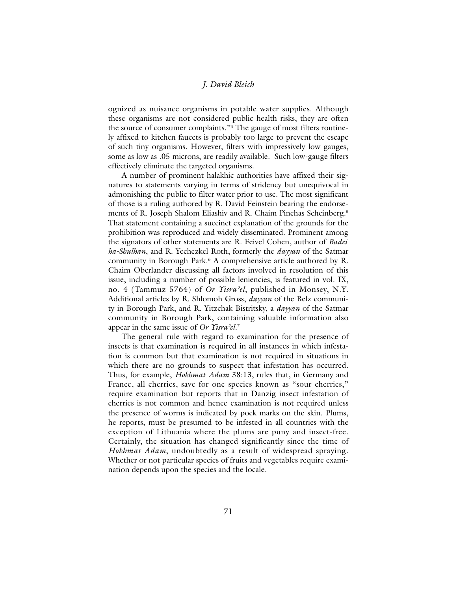ognized as nuisance organisms in potable water supplies. Although these organisms are not considered public health risks, they are often the source of consumer complaints."4 The gauge of most filters routinely affixed to kitchen faucets is probably too large to prevent the escape of such tiny organisms. However, filters with impressively low gauges, some as low as .05 microns, are readily available. Such low-gauge filters effectively eliminate the targeted organisms.

A number of prominent halakhic authorities have affixed their signatures to statements varying in terms of stridency but unequivocal in admonishing the public to filter water prior to use. The most significant of those is a ruling authored by R. David Feinstein bearing the endorsements of R. Joseph Shalom Eliashiv and R. Chaim Pinchas Scheinberg.5 That statement containing a succinct explanation of the grounds for the prohibition was reproduced and widely disseminated. Prominent among the signators of other statements are R. Feivel Cohen, author of *Badei ha-Shulhan*, and R. Yechezkel Roth, formerly the *dayyan* of the Satmar community in Borough Park.6 A comprehensive article authored by R. Chaim Oberlander discussing all factors involved in resolution of this issue, including a number of possible leniencies, is featured in vol. IX, no. 4 (Tammuz 5764) of *Or Yisra'el*, published in Monsey, N.Y. Additional articles by R. Shlomoh Gross, *dayyan* of the Belz community in Borough Park, and R. Yitzchak Bistritsky, a *dayyan* of the Satmar community in Borough Park, containing valuable information also appear in the same issue of *Or Yisra'el*. 7

The general rule with regard to examination for the presence of insects is that examination is required in all instances in which infestation is common but that examination is not required in situations in which there are no grounds to suspect that infestation has occurred. Thus, for example, *Hokhmat Adam* 38:13, rules that, in Germany and France, all cherries, save for one species known as "sour cherries," require examination but reports that in Danzig insect infestation of cherries is not common and hence examination is not required unless the presence of worms is indicated by pock marks on the skin. Plums, he reports, must be presumed to be infested in all countries with the exception of Lithuania where the plums are puny and insect-free. Certainly, the situation has changed significantly since the time of *Hokhmat Adam*, undoubtedly as a result of widespread spraying. Whether or not particular species of fruits and vegetables require examination depends upon the species and the locale.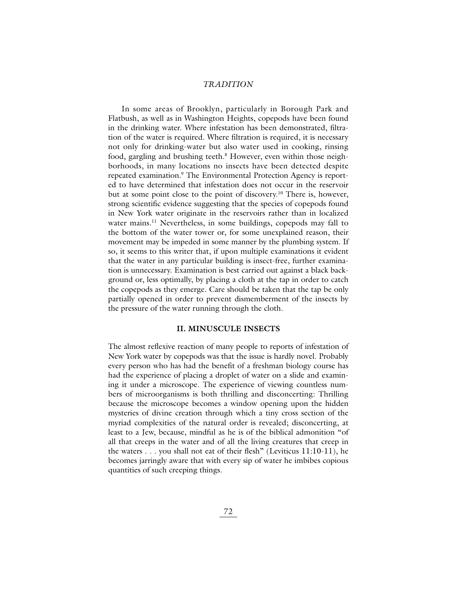In some areas of Brooklyn, particularly in Borough Park and Flatbush, as well as in Washington Heights, copepods have been found in the drinking water. Where infestation has been demonstrated, filtration of the water is required. Where filtration is required, it is necessary not only for drinking-water but also water used in cooking, rinsing food, gargling and brushing teeth.<sup>8</sup> However, even within those neighborhoods, in many locations no insects have been detected despite repeated examination.<sup>9</sup> The Environmental Protection Agency is reported to have determined that infestation does not occur in the reservoir but at some point close to the point of discovery.10 There is, however, strong scientific evidence suggesting that the species of copepods found in New York water originate in the reservoirs rather than in localized water mains.<sup>11</sup> Nevertheless, in some buildings, copepods may fall to the bottom of the water tower or, for some unexplained reason, their movement may be impeded in some manner by the plumbing system. If so, it seems to this writer that, if upon multiple examinations it evident that the water in any particular building is insect-free, further examination is unnecessary. Examination is best carried out against a black background or, less optimally, by placing a cloth at the tap in order to catch the copepods as they emerge. Care should be taken that the tap be only partially opened in order to prevent dismemberment of the insects by the pressure of the water running through the cloth.

# **II. MINUSCULE INSECTS**

The almost reflexive reaction of many people to reports of infestation of New York water by copepods was that the issue is hardly novel. Probably every person who has had the benefit of a freshman biology course has had the experience of placing a droplet of water on a slide and examining it under a microscope. The experience of viewing countless numbers of microorganisms is both thrilling and disconcerting: Thrilling because the microscope becomes a window opening upon the hidden mysteries of divine creation through which a tiny cross section of the myriad complexities of the natural order is revealed; disconcerting, at least to a Jew, because, mindful as he is of the biblical admonition "of all that creeps in the water and of all the living creatures that creep in the waters . . . you shall not eat of their flesh" (Leviticus 11:10-11), he becomes jarringly aware that with every sip of water he imbibes copious quantities of such creeping things.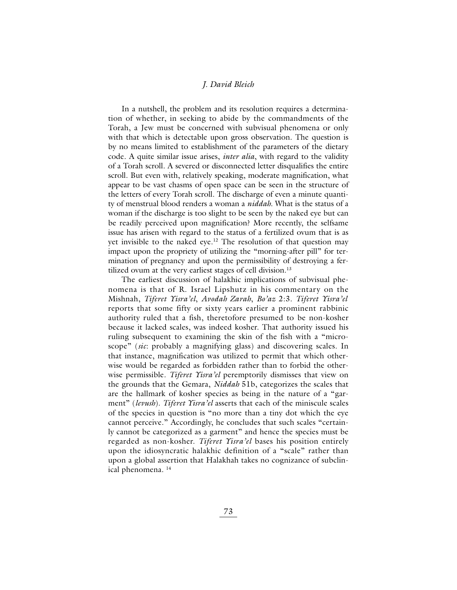In a nutshell, the problem and its resolution requires a determination of whether, in seeking to abide by the commandments of the Torah, a Jew must be concerned with subvisual phenomena or only with that which is detectable upon gross observation. The question is by no means limited to establishment of the parameters of the dietary code. A quite similar issue arises, *inter alia*, with regard to the validity of a Torah scroll. A severed or disconnected letter disqualifies the entire scroll. But even with, relatively speaking, moderate magnification, what appear to be vast chasms of open space can be seen in the structure of the letters of every Torah scroll. The discharge of even a minute quantity of menstrual blood renders a woman a *niddah*. What is the status of a woman if the discharge is too slight to be seen by the naked eye but can be readily perceived upon magnification? More recently, the selfsame issue has arisen with regard to the status of a fertilized ovum that is as yet invisible to the naked eye.<sup>12</sup> The resolution of that question may impact upon the propriety of utilizing the "morning-after pill" for termination of pregnancy and upon the permissibility of destroying a fertilized ovum at the very earliest stages of cell division.<sup>13</sup>

The earliest discussion of halakhic implications of subvisual phenomena is that of R. Israel Lipshutz in his commentary on the Mishnah, *Tiferet Yisra'el*, *Avodah Zarah*, *Bo'az* 2:3. *Tiferet Yisra'el* reports that some fifty or sixty years earlier a prominent rabbinic authority ruled that a fish, theretofore presumed to be non-kosher because it lacked scales, was indeed kosher. That authority issued his ruling subsequent to examining the skin of the fish with a "microscope" (*sic*: probably a magnifying glass) and discovering scales. In that instance, magnification was utilized to permit that which otherwise would be regarded as forbidden rather than to forbid the otherwise permissible. *Tiferet Yisra'el* peremptorily dismisses that view on the grounds that the Gemara, *Niddah* 51b, categorizes the scales that are the hallmark of kosher species as being in the nature of a "garment" (*levush*). *Tiferet Yisra'el* asserts that each of the miniscule scales of the species in question is "no more than a tiny dot which the eye cannot perceive." Accordingly, he concludes that such scales "certainly cannot be categorized as a garment" and hence the species must be regarded as non-kosher. *Tiferet Yisra'el* bases his position entirely upon the idiosyncratic halakhic definition of a "scale" rather than upon a global assertion that Halakhah takes no cognizance of subclinical phenomena. 14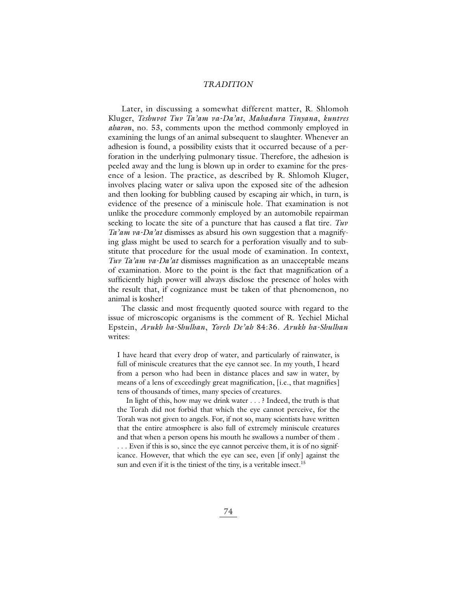Later, in discussing a somewhat different matter, R. Shlomoh Kluger, *Teshuvot Tuv Ta'am va-Da'at*, *Mahadura Tinyana*, *kuntres aharon*, no. 53, comments upon the method commonly employed in examining the lungs of an animal subsequent to slaughter. Whenever an adhesion is found, a possibility exists that it occurred because of a perforation in the underlying pulmonary tissue. Therefore, the adhesion is peeled away and the lung is blown up in order to examine for the presence of a lesion. The practice, as described by R. Shlomoh Kluger, involves placing water or saliva upon the exposed site of the adhesion and then looking for bubbling caused by escaping air which, in turn, is evidence of the presence of a miniscule hole. That examination is not unlike the procedure commonly employed by an automobile repairman seeking to locate the site of a puncture that has caused a flat tire. *Tuv Ta'am va-Da'at* dismisses as absurd his own suggestion that a magnifying glass might be used to search for a perforation visually and to substitute that procedure for the usual mode of examination. In context, *Tuv Ta'am va-Da'at* dismisses magnification as an unacceptable means of examination. More to the point is the fact that magnification of a sufficiently high power will always disclose the presence of holes with the result that, if cognizance must be taken of that phenomenon, no animal is kosher!

The classic and most frequently quoted source with regard to the issue of microscopic organisms is the comment of R. Yechiel Michal Epstein, *Arukh ha-Shulhan*, *Yoreh De'ah* 84:36. *Arukh ha-Shulhan* writes:

I have heard that every drop of water, and particularly of rainwater, is full of miniscule creatures that the eye cannot see. In my youth, I heard from a person who had been in distance places and saw in water, by means of a lens of exceedingly great magnification, [i.e., that magnifies] tens of thousands of times, many species of creatures.

In light of this, how may we drink water . . . ? Indeed, the truth is that the Torah did not forbid that which the eye cannot perceive, for the Torah was not given to angels. For, if not so, many scientists have written that the entire atmosphere is also full of extremely miniscule creatures and that when a person opens his mouth he swallows a number of them . . . . Even if this is so, since the eye cannot perceive them, it is of no significance. However, that which the eye can see, even [if only] against the sun and even if it is the tiniest of the tiny, is a veritable insect.<sup>15</sup>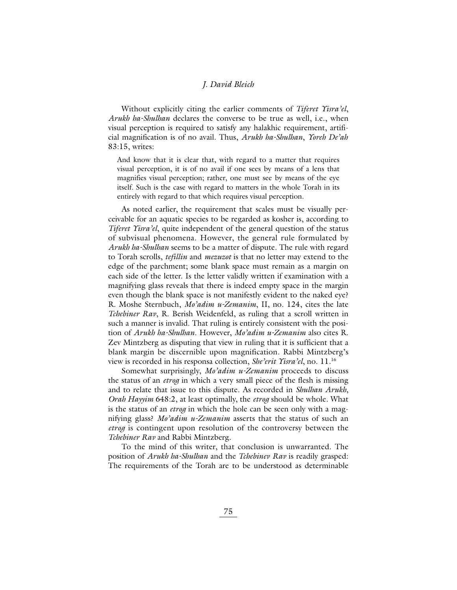Without explicitly citing the earlier comments of *Tiferet Yisra'el*, *Arukh ha-Shulhan* declares the converse to be true as well, i.e., when visual perception is required to satisfy any halakhic requirement, artificial magnification is of no avail. Thus, *Arukh ha-Shulhan*, *Yoreh De'ah* 83:15, writes:

And know that it is clear that, with regard to a matter that requires visual perception, it is of no avail if one sees by means of a lens that magnifies visual perception; rather, one must see by means of the eye itself. Such is the case with regard to matters in the whole Torah in its entirely with regard to that which requires visual perception.

As noted earlier, the requirement that scales must be visually perceivable for an aquatic species to be regarded as kosher is, according to *Tiferet Yisra'el*, quite independent of the general question of the status of subvisual phenomena. However, the general rule formulated by *Arukh ha-Shulhan* seems to be a matter of dispute. The rule with regard to Torah scrolls, *tefillin* and *mezuzot* is that no letter may extend to the edge of the parchment; some blank space must remain as a margin on each side of the letter. Is the letter validly written if examination with a magnifying glass reveals that there is indeed empty space in the margin even though the blank space is not manifestly evident to the naked eye? R. Moshe Sternbuch, *Mo'adim u-Zemanim*, II, no. 124, cites the late *Tchebiner Rav*, R. Berish Weidenfeld, as ruling that a scroll written in such a manner is invalid. That ruling is entirely consistent with the position of *Arukh ha-Shulhan*. However, *Mo'adim u-Zemanim* also cites R. Zev Mintzberg as disputing that view in ruling that it is sufficient that a blank margin be discernible upon magnification. Rabbi Mintzberg's view is recorded in his responsa collection, *She'erit Yisra'el*, no. 11.16

Somewhat surprisingly, *Mo'adim u-Zemanim* proceeds to discuss the status of an *etrog* in which a very small piece of the flesh is missing and to relate that issue to this dispute. As recorded in *Shulhan Arukh*, *Orah Hayyim* 648:2, at least optimally, the *etrog* should be whole. What is the status of an *etrog* in which the hole can be seen only with a magnifying glass? *Mo'adim u-Zemanim* asserts that the status of such an *etrog* is contingent upon resolution of the controversy between the *Tchebiner Rav* and Rabbi Mintzberg.

To the mind of this writer, that conclusion is unwarranted. The position of *Arukh ha-Shulhan* and the *Tchebinev Rav* is readily grasped: The requirements of the Torah are to be understood as determinable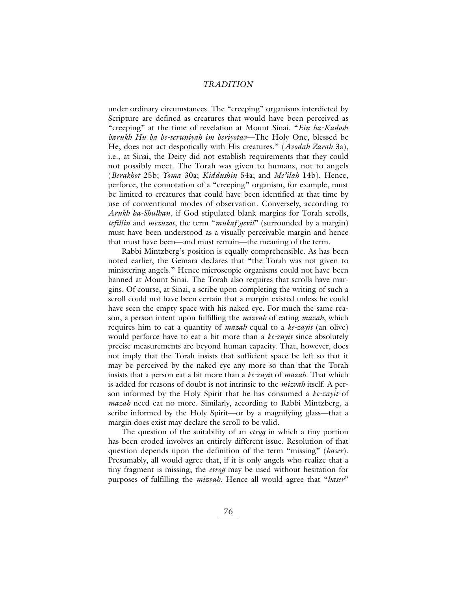under ordinary circumstances. The "creeping" organisms interdicted by Scripture are defined as creatures that would have been perceived as "creeping" at the time of revelation at Mount Sinai. "*Ein ha-Kadosh barukh Hu ba be-teruniyah im beriyotav*—The Holy One, blessed be He, does not act despotically with His creatures." (*Avodah Zarah* 3a), i.e., at Sinai, the Deity did not establish requirements that they could not possibly meet. The Torah was given to humans, not to angels (*Berakhot* 25b; *Yoma* 30a; *Kiddushin* 54a; and *Me'ilah* 14b). Hence, perforce, the connotation of a "creeping" organism, for example, must be limited to creatures that could have been identified at that time by use of conventional modes of observation. Conversely, according to *Arukh ha-Shulhan*, if God stipulated blank margins for Torah scrolls, *tefillin* and *mezuzot*, the term "*mukaf gevil*" (surrounded by a margin) must have been understood as a visually perceivable margin and hence that must have been—and must remain—the meaning of the term.

Rabbi Mintzberg's position is equally comprehensible. As has been noted earlier, the Gemara declares that "the Torah was not given to ministering angels." Hence microscopic organisms could not have been banned at Mount Sinai. The Torah also requires that scrolls have margins. Of course, at Sinai, a scribe upon completing the writing of such a scroll could not have been certain that a margin existed unless he could have seen the empty space with his naked eye. For much the same reason, a person intent upon fulfilling the *mizvah* of eating *mazah*, which requires him to eat a quantity of *mazah* equal to a *ke-zayit* (an olive) would perforce have to eat a bit more than a *ke-zayit* since absolutely precise measurements are beyond human capacity. That, however, does not imply that the Torah insists that sufficient space be left so that it may be perceived by the naked eye any more so than that the Torah insists that a person eat a bit more than a *ke-zayit* of *mazah*. That which is added for reasons of doubt is not intrinsic to the *mizvah* itself. A person informed by the Holy Spirit that he has consumed a *ke-zayit* of *mazah* need eat no more. Similarly, according to Rabbi Mintzberg, a scribe informed by the Holy Spirit—or by a magnifying glass—that a margin does exist may declare the scroll to be valid.

The question of the suitability of an *etrog* in which a tiny portion has been eroded involves an entirely different issue. Resolution of that question depends upon the definition of the term "missing" (*haser*). Presumably, all would agree that, if it is only angels who realize that a tiny fragment is missing, the *etrog* may be used without hesitation for purposes of fulfilling the *mizvah*. Hence all would agree that "*haser*"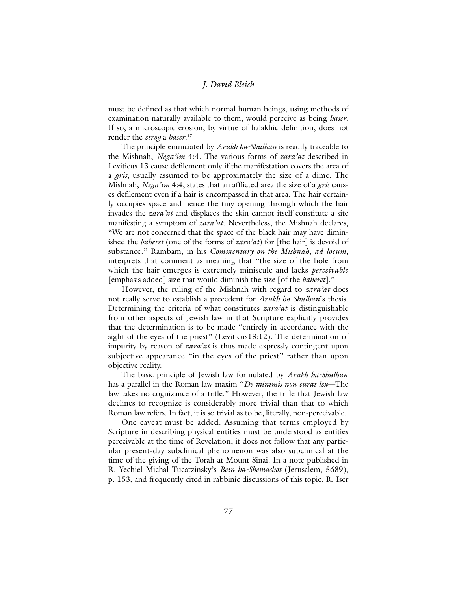must be defined as that which normal human beings, using methods of examination naturally available to them, would perceive as being *haser*. If so, a microscopic erosion, by virtue of halakhic definition, does not render the *etrog* a *haser*. 17

The principle enunciated by *Arukh ha-Shulhan* is readily traceable to the Mishnah, *Nega'im* 4:4. The various forms of *zara'at* described in Leviticus 13 cause defilement only if the manifestation covers the area of a *gris*, usually assumed to be approximately the size of a dime. The Mishnah, *Nega'im* 4:4, states that an afflicted area the size of a *gris* causes defilement even if a hair is encompassed in that area. The hair certainly occupies space and hence the tiny opening through which the hair invades the *zara'at* and displaces the skin cannot itself constitute a site manifesting a symptom of *zara'at*. Nevertheless, the Mishnah declares, "We are not concerned that the space of the black hair may have diminished the *baheret* (one of the forms of *zara'at*) for [the hair] is devoid of substance." Rambam, in his *Commentary on the Mishnah*, *ad locum*, interprets that comment as meaning that "the size of the hole from which the hair emerges is extremely miniscule and lacks *perceivable* [emphasis added] size that would diminish the size [of the *baheret*]."

However, the ruling of the Mishnah with regard to *zara'at* does not really serve to establish a precedent for *Arukh ha-Shulhan*'s thesis. Determining the criteria of what constitutes *zara'at* is distinguishable from other aspects of Jewish law in that Scripture explicitly provides that the determination is to be made "entirely in accordance with the sight of the eyes of the priest" (Leviticus13:12). The determination of impurity by reason of *zara'at* is thus made expressly contingent upon subjective appearance "in the eyes of the priest" rather than upon objective reality.

The basic principle of Jewish law formulated by *Arukh ha-Shulhan* has a parallel in the Roman law maxim "*De minimis non curat lex*—The law takes no cognizance of a trifle." However, the trifle that Jewish law declines to recognize is considerably more trivial than that to which Roman law refers. In fact, it is so trivial as to be, literally, non-perceivable.

One caveat must be added. Assuming that terms employed by Scripture in describing physical entities must be understood as entities perceivable at the time of Revelation, it does not follow that any particular present-day subclinical phenomenon was also subclinical at the time of the giving of the Torah at Mount Sinai. In a note published in R. Yechiel Michal Tucatzinsky's *Bein ha-Shemashot* (Jerusalem, 5689), p. 153, and frequently cited in rabbinic discussions of this topic, R. Iser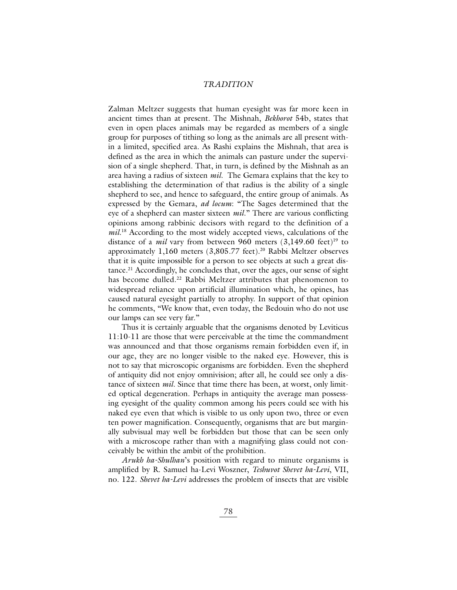Zalman Meltzer suggests that human eyesight was far more keen in ancient times than at present. The Mishnah, *Bekhorot* 54b, states that even in open places animals may be regarded as members of a single group for purposes of tithing so long as the animals are all present within a limited, specified area. As Rashi explains the Mishnah, that area is defined as the area in which the animals can pasture under the supervision of a single shepherd. That, in turn, is defined by the Mishnah as an area having a radius of sixteen *mil*. The Gemara explains that the key to establishing the determination of that radius is the ability of a single shepherd to see, and hence to safeguard, the entire group of animals. As expressed by the Gemara, *ad locum*: "The Sages determined that the eye of a shepherd can master sixteen *mil*." There are various conflicting opinions among rabbinic decisors with regard to the definition of a *mil*. <sup>18</sup> According to the most widely accepted views, calculations of the distance of a *mil* vary from between 960 meters  $(3,149.60 \text{ feet})^{19}$  to approximately  $1,160$  meters  $(3,805.77 \text{ feet})$ .<sup>20</sup> Rabbi Meltzer observes that it is quite impossible for a person to see objects at such a great distance.<sup>21</sup> Accordingly, he concludes that, over the ages, our sense of sight has become dulled.<sup>22</sup> Rabbi Meltzer attributes that phenomenon to widespread reliance upon artificial illumination which, he opines, has caused natural eyesight partially to atrophy. In support of that opinion he comments, "We know that, even today, the Bedouin who do not use our lamps can see very far."

Thus it is certainly arguable that the organisms denoted by Leviticus 11:10-11 are those that were perceivable at the time the commandment was announced and that those organisms remain forbidden even if, in our age, they are no longer visible to the naked eye. However, this is not to say that microscopic organisms are forbidden. Even the shepherd of antiquity did not enjoy omnivision; after all, he could see only a distance of sixteen *mil*. Since that time there has been, at worst, only limited optical degeneration. Perhaps in antiquity the average man possessing eyesight of the quality common among his peers could see with his naked eye even that which is visible to us only upon two, three or even ten power magnification. Consequently, organisms that are but marginally subvisual may well be forbidden but those that can be seen only with a microscope rather than with a magnifying glass could not conceivably be within the ambit of the prohibition.

*Arukh ha-Shulhan*'s position with regard to minute organisms is amplified by R. Samuel ha-Levi Woszner, *Teshuvot Shevet ha-Levi*, VII, no. 122. *Shevet ha-Levi* addresses the problem of insects that are visible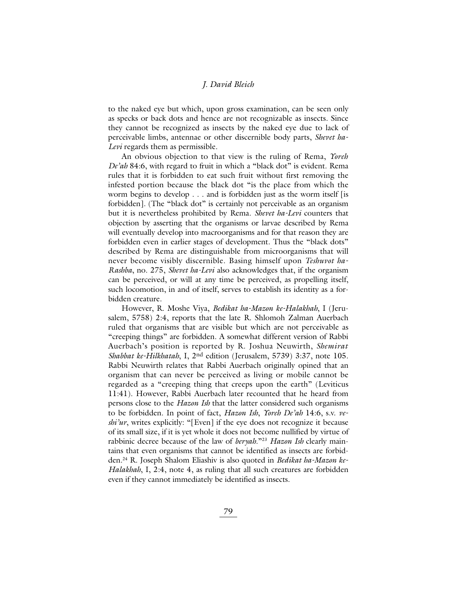to the naked eye but which, upon gross examination, can be seen only as specks or back dots and hence are not recognizable as insects. Since they cannot be recognized as insects by the naked eye due to lack of perceivable limbs, antennae or other discernible body parts, *Shevet ha-Levi* regards them as permissible.

An obvious objection to that view is the ruling of Rema, *Yoreh De'ah* 84:6, with regard to fruit in which a "black dot" is evident. Rema rules that it is forbidden to eat such fruit without first removing the infested portion because the black dot "is the place from which the worm begins to develop . . . and is forbidden just as the worm itself [is forbidden]. (The "black dot" is certainly not perceivable as an organism but it is nevertheless prohibited by Rema. *Shevet ha-Levi* counters that objection by asserting that the organisms or larvae described by Rema will eventually develop into macroorganisms and for that reason they are forbidden even in earlier stages of development. Thus the "black dots" described by Rema are distinguishable from microorganisms that will never become visibly discernible. Basing himself upon *Teshuvot ha-Rashba*, no. 275, *Shevet ha-Levi* also acknowledges that, if the organism can be perceived, or will at any time be perceived, as propelling itself, such locomotion, in and of itself, serves to establish its identity as a forbidden creature.

However, R. Moshe Viya, *Bedikat ha-Mazon ke-Halakhah*, I (Jerusalem, 5758) 2:4, reports that the late R. Shlomoh Zalman Auerbach ruled that organisms that are visible but which are not perceivable as "creeping things" are forbidden. A somewhat different version of Rabbi Auerbach's position is reported by R. Joshua Neuwirth, *Shemirat Shabbat ke-Hilkhatah*, I, 2nd edition (Jerusalem, 5739) 3:37, note 105. Rabbi Neuwirth relates that Rabbi Auerbach originally opined that an organism that can never be perceived as living or mobile cannot be regarded as a "creeping thing that creeps upon the earth" (Leviticus 11:41). However, Rabbi Auerbach later recounted that he heard from persons close to the *Hazon Ish* that the latter considered such organisms to be forbidden. In point of fact, *Hazon Ish*, *Yoreh De'ah* 14:6, s.v. *veshi'ur*, writes explicitly: "[Even] if the eye does not recognize it because of its small size, if it is yet whole it does not become nullified by virtue of rabbinic decree because of the law of *beryah*."23 *Hazon Ish* clearly maintains that even organisms that cannot be identified as insects are forbidden.24 R. Joseph Shalom Eliashiv is also quoted in *Bedikat ha-Mazon ke-Halakhah*, I, 2:4, note 4, as ruling that all such creatures are forbidden even if they cannot immediately be identified as insects.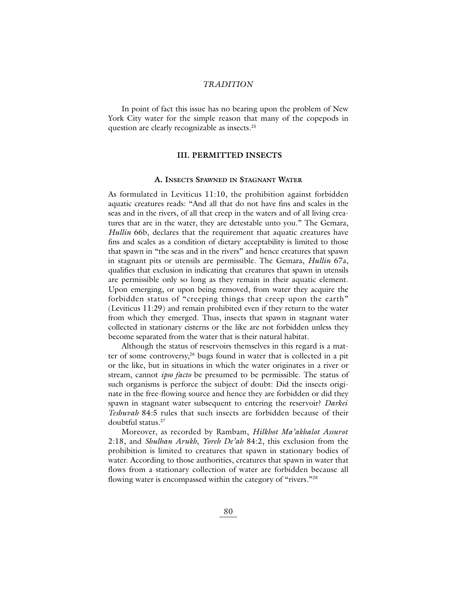In point of fact this issue has no bearing upon the problem of New York City water for the simple reason that many of the copepods in question are clearly recognizable as insects.25

# **III. PERMITTED INSECTS**

# **A. INSECTS SPAWNED IN STAGNANT WATER**

As formulated in Leviticus 11:10, the prohibition against forbidden aquatic creatures reads: "And all that do not have fins and scales in the seas and in the rivers, of all that creep in the waters and of all living creatures that are in the water, they are detestable unto you." The Gemara, *Hullin* 66b, declares that the requirement that aquatic creatures have fins and scales as a condition of dietary acceptability is limited to those that spawn in "the seas and in the rivers" and hence creatures that spawn in stagnant pits or utensils are permissible. The Gemara, *Hullin* 67a, qualifies that exclusion in indicating that creatures that spawn in utensils are permissible only so long as they remain in their aquatic element. Upon emerging, or upon being removed, from water they acquire the forbidden status of "creeping things that creep upon the earth" (Leviticus 11:29) and remain prohibited even if they return to the water from which they emerged. Thus, insects that spawn in stagnant water collected in stationary cisterns or the like are not forbidden unless they become separated from the water that is their natural habitat.

Although the status of reservoirs themselves in this regard is a matter of some controversy,<sup>26</sup> bugs found in water that is collected in a pit or the like, but in situations in which the water originates in a river or stream, cannot *ipso facto* be presumed to be permissible. The status of such organisms is perforce the subject of doubt: Did the insects originate in the free-flowing source and hence they are forbidden or did they spawn in stagnant water subsequent to entering the reservoir? *Darkei Teshuvah* 84:5 rules that such insects are forbidden because of their doubtful status.27

Moreover, as recorded by Rambam, *Hilkhot Ma'akhalot Assurot* 2:18, and *Shulhan Arukh*, *Yoreh De'ah* 84:2, this exclusion from the prohibition is limited to creatures that spawn in stationary bodies of water. According to those authorities, creatures that spawn in water that flows from a stationary collection of water are forbidden because all flowing water is encompassed within the category of "rivers."<sup>28</sup>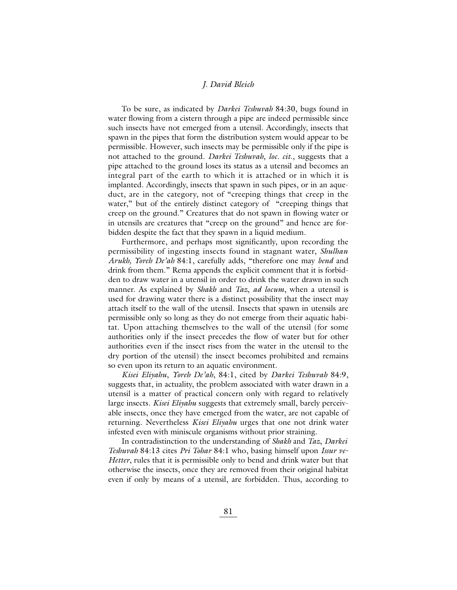To be sure, as indicated by *Darkei Teshuvah* 84:30, bugs found in water flowing from a cistern through a pipe are indeed permissible since such insects have not emerged from a utensil. Accordingly, insects that spawn in the pipes that form the distribution system would appear to be permissible. However, such insects may be permissible only if the pipe is not attached to the ground. *Darkei Teshuvah*, *loc. cit*., suggests that a pipe attached to the ground loses its status as a utensil and becomes an integral part of the earth to which it is attached or in which it is implanted. Accordingly, insects that spawn in such pipes, or in an aqueduct, are in the category, not of "creeping things that creep in the water," but of the entirely distinct category of "creeping things that creep on the ground." Creatures that do not spawn in flowing water or in utensils are creatures that "creep on the ground" and hence are forbidden despite the fact that they spawn in a liquid medium.

Furthermore, and perhaps most significantly, upon recording the permissibility of ingesting insects found in stagnant water, *Shulhan Arukh, Yoreh De'ah* 84:1, carefully adds, "therefore one may *bend* and drink from them." Rema appends the explicit comment that it is forbidden to draw water in a utensil in order to drink the water drawn in such manner. As explained by *Shakh* and *Taz*, *ad locum*, when a utensil is used for drawing water there is a distinct possibility that the insect may attach itself to the wall of the utensil. Insects that spawn in utensils are permissible only so long as they do not emerge from their aquatic habitat. Upon attaching themselves to the wall of the utensil (for some authorities only if the insect precedes the flow of water but for other authorities even if the insect rises from the water in the utensil to the dry portion of the utensil) the insect becomes prohibited and remains so even upon its return to an aquatic environment.

*Kisei Eliyahu*, *Yoreh De'ah*, 84:1, cited by *Darkei Teshuvah* 84:9, suggests that, in actuality, the problem associated with water drawn in a utensil is a matter of practical concern only with regard to relatively large insects. *Kisei Eliyahu* suggests that extremely small, barely perceivable insects, once they have emerged from the water, are not capable of returning. Nevertheless *Kisei Eliyahu* urges that one not drink water infested even with miniscule organisms without prior straining.

In contradistinction to the understanding of *Shakh* and *Taz*, *Darkei Teshuvah* 84:13 cites *Pri Tohar* 84:1 who, basing himself upon *Issur ve-Hetter*, rules that it is permissible only to bend and drink water but that otherwise the insects, once they are removed from their original habitat even if only by means of a utensil, are forbidden. Thus, according to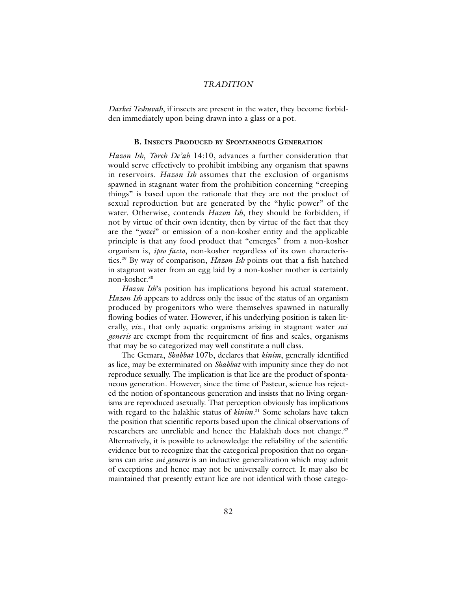*Darkei Teshuvah*, if insects are present in the water, they become forbidden immediately upon being drawn into a glass or a pot.

#### **B. INSECTS PRODUCED BY SPONTANEOUS GENERATION**

*Hazon Ish*, *Yoreh De'ah* 14:10, advances a further consideration that would serve effectively to prohibit imbibing any organism that spawns in reservoirs. *Hazon Ish* assumes that the exclusion of organisms spawned in stagnant water from the prohibition concerning "creeping things" is based upon the rationale that they are not the product of sexual reproduction but are generated by the "hylic power" of the water. Otherwise, contends *Hazon Ish*, they should be forbidden, if not by virtue of their own identity, then by virtue of the fact that they are the "*yozei*" or emission of a non-kosher entity and the applicable principle is that any food product that "emerges" from a non-kosher organism is, *ipso facto*, non-kosher regardless of its own characteristics.29 By way of comparison, *Hazon Ish* points out that a fish hatched in stagnant water from an egg laid by a non-kosher mother is certainly non-kosher.30

*Hazon Ish*'s position has implications beyond his actual statement. *Hazon Ish* appears to address only the issue of the status of an organism produced by progenitors who were themselves spawned in naturally flowing bodies of water. However, if his underlying position is taken literally, *viz*., that only aquatic organisms arising in stagnant water *sui generis* are exempt from the requirement of fins and scales, organisms that may be so categorized may well constitute a null class.

The Gemara, *Shabbat* 107b, declares that *kinim*, generally identified as lice, may be exterminated on *Shabbat* with impunity since they do not reproduce sexually. The implication is that lice are the product of spontaneous generation. However, since the time of Pasteur, science has rejected the notion of spontaneous generation and insists that no living organisms are reproduced asexually. That perception obviously has implications with regard to the halakhic status of *kinim.*<sup>31</sup> Some scholars have taken the position that scientific reports based upon the clinical observations of researchers are unreliable and hence the Halakhah does not change.<sup>32</sup> Alternatively, it is possible to acknowledge the reliability of the scientific evidence but to recognize that the categorical proposition that no organisms can arise *sui generis* is an inductive generalization which may admit of exceptions and hence may not be universally correct. It may also be maintained that presently extant lice are not identical with those catego-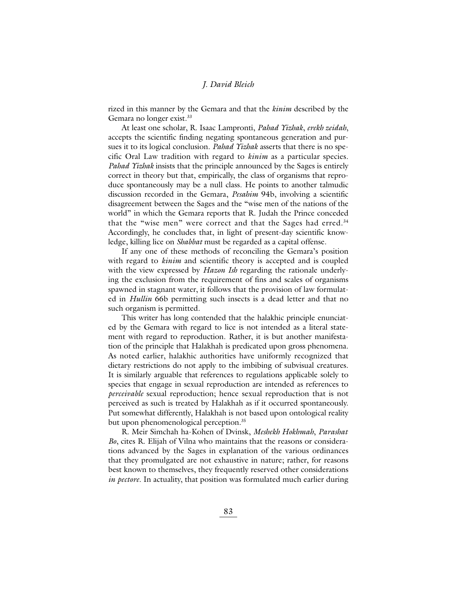rized in this manner by the Gemara and that the *kinim* described by the Gemara no longer exist.<sup>33</sup>

At least one scholar, R. Isaac Lampronti, *Pahad Yizhak*, *erekh zeidah*, accepts the scientific finding negating spontaneous generation and pursues it to its logical conclusion. *Pahad Yizhak* asserts that there is no specific Oral Law tradition with regard to *kinim* as a particular species. *Pahad Yizhak* insists that the principle announced by the Sages is entirely correct in theory but that, empirically, the class of organisms that reproduce spontaneously may be a null class. He points to another talmudic discussion recorded in the Gemara, *Pesahim* 94b, involving a scientific disagreement between the Sages and the "wise men of the nations of the world" in which the Gemara reports that R. Judah the Prince conceded that the "wise men" were correct and that the Sages had erred.<sup>34</sup> Accordingly, he concludes that, in light of present-day scientific knowledge, killing lice on *Shabbat* must be regarded as a capital offense.

If any one of these methods of reconciling the Gemara's position with regard to *kinim* and scientific theory is accepted and is coupled with the view expressed by *Hazon Ish* regarding the rationale underlying the exclusion from the requirement of fins and scales of organisms spawned in stagnant water, it follows that the provision of law formulated in *Hullin* 66b permitting such insects is a dead letter and that no such organism is permitted.

This writer has long contended that the halakhic principle enunciated by the Gemara with regard to lice is not intended as a literal statement with regard to reproduction. Rather, it is but another manifestation of the principle that Halakhah is predicated upon gross phenomena. As noted earlier, halakhic authorities have uniformly recognized that dietary restrictions do not apply to the imbibing of subvisual creatures. It is similarly arguable that references to regulations applicable solely to species that engage in sexual reproduction are intended as references to *perceivable* sexual reproduction; hence sexual reproduction that is not perceived as such is treated by Halakhah as if it occurred spontaneously. Put somewhat differently, Halakhah is not based upon ontological reality but upon phenomenological perception.<sup>35</sup>

R. Meir Simchah ha-Kohen of Dvinsk, *Meshekh Hokhmah*, *Parashat Bo*, cites R. Elijah of Vilna who maintains that the reasons or considerations advanced by the Sages in explanation of the various ordinances that they promulgated are not exhaustive in nature; rather, for reasons best known to themselves, they frequently reserved other considerations *in pectore*. In actuality, that position was formulated much earlier during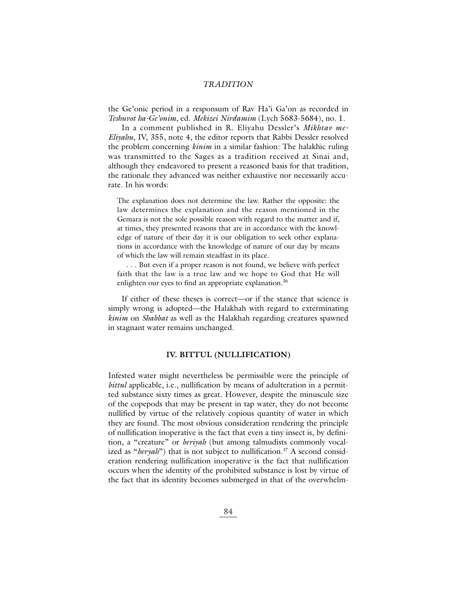the Ge'onic period in a responsum of Rav Ha'i Ga'on as recorded in *Teshuvot ha-Ge'onim*, ed. *Mekizei Nirdamim* (Lych 5683-5684), no. 1.

In a comment published in R. Eliyahu Dessler's *Mikhtav me-Eliyahu*, IV, 355, note 4, the editor reports that Rabbi Dessler resolved the problem concerning *kinim* in a similar fashion: The halakhic ruling was transmitted to the Sages as a tradition received at Sinai and, although they endeavored to present a reasoned basis for that tradition, the rationale they advanced was neither exhaustive nor necessarily accurate. In his words:

The explanation does not determine the law. Rather the opposite: the law determines the explanation and the reason mentioned in the Gemara is not the sole possible reason with regard to the matter and if, at times, they presented reasons that are in accordance with the knowledge of nature of their day it is our obligation to seek other explanations in accordance with the knowledge of nature of our day by means of which the law will remain steadfast in its place.

. . . But even if a proper reason is not found, we believe with perfect faith that the law is a true law and we hope to God that He will enlighten our eyes to find an appropriate explanation.<sup>36</sup>

If either of these theses is correct—or if the stance that science is simply wrong is adopted—the Halakhah with regard to exterminating *kinim* on *Shabbat* as well as the Halakhah regarding creatures spawned in stagnant water remains unchanged.

# **IV. BITTUL (NULLIFICATION)**

Infested water might nevertheless be permissible were the principle of *bittul* applicable, i.e., nullification by means of adulteration in a permitted substance sixty times as great. However, despite the minuscule size of the copepods that may be present in tap water, they do not become nullified by virtue of the relatively copious quantity of water in which they are found. The most obvious consideration rendering the principle of nullification inoperative is the fact that even a tiny insect is, by definition, a "creature" or *beriyah* (but among talmudists commonly vocalized as "*beryah*") that is not subject to nullification.<sup>37</sup> A second consideration rendering nullification inoperative is the fact that nullification occurs when the identity of the prohibited substance is lost by virtue of the fact that its identity becomes submerged in that of the overwhelm-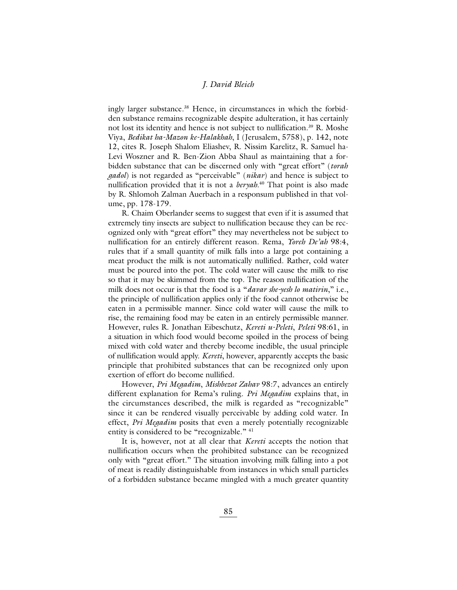ingly larger substance.<sup>38</sup> Hence, in circumstances in which the forbidden substance remains recognizable despite adulteration, it has certainly not lost its identity and hence is not subject to nullification.<sup>39</sup> R. Moshe Viya, *Bedikat ha-Mazon ke-Halakhah*, I (Jerusalem, 5758), p. 142, note 12, cites R. Joseph Shalom Eliashev, R. Nissim Karelitz, R. Samuel ha-Levi Woszner and R. Ben-Zion Abba Shaul as maintaining that a forbidden substance that can be discerned only with "great effort" (*torah gadol*) is not regarded as "perceivable" (*nikar*) and hence is subject to nullification provided that it is not a *beryah*. <sup>40</sup> That point is also made by R. Shlomoh Zalman Auerbach in a responsum published in that volume, pp. 178-179.

R. Chaim Oberlander seems to suggest that even if it is assumed that extremely tiny insects are subject to nullification because they can be recognized only with "great effort" they may nevertheless not be subject to nullification for an entirely different reason. Rema, *Yoreh De'ah* 98:4, rules that if a small quantity of milk falls into a large pot containing a meat product the milk is not automatically nullified. Rather, cold water must be poured into the pot. The cold water will cause the milk to rise so that it may be skimmed from the top. The reason nullification of the milk does not occur is that the food is a "*davar she-yesh lo matirin*," i.e., the principle of nullification applies only if the food cannot otherwise be eaten in a permissible manner. Since cold water will cause the milk to rise, the remaining food may be eaten in an entirely permissible manner. However, rules R. Jonathan Eibeschutz, *Kereti u-Peleti*, *Peleti* 98:61, in a situation in which food would become spoiled in the process of being mixed with cold water and thereby become inedible, the usual principle of nullification would apply. *Kereti*, however, apparently accepts the basic principle that prohibited substances that can be recognized only upon exertion of effort do become nullified.

However, *Pri Megadim*, *Mishbezot Zahav* 98:7, advances an entirely different explanation for Rema's ruling. *Pri Megadim* explains that, in the circumstances described, the milk is regarded as "recognizable" since it can be rendered visually perceivable by adding cold water. In effect, *Pri Megadim* posits that even a merely potentially recognizable entity is considered to be "recognizable." <sup>41</sup>

It is, however, not at all clear that *Kereti* accepts the notion that nullification occurs when the prohibited substance can be recognized only with "great effort." The situation involving milk falling into a pot of meat is readily distinguishable from instances in which small particles of a forbidden substance became mingled with a much greater quantity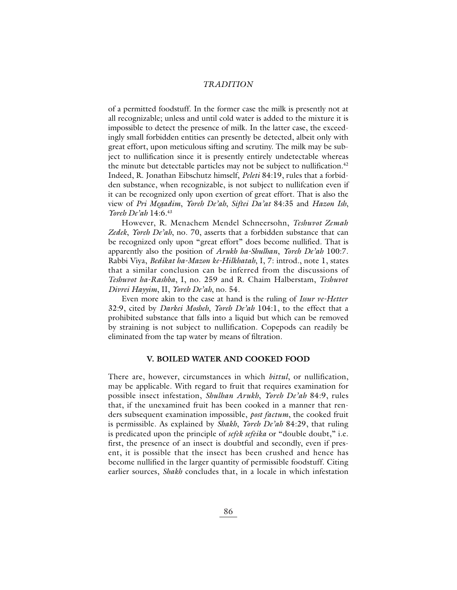of a permitted foodstuff. In the former case the milk is presently not at all recognizable; unless and until cold water is added to the mixture it is impossible to detect the presence of milk. In the latter case, the exceedingly small forbidden entities can presently be detected, albeit only with great effort, upon meticulous sifting and scrutiny. The milk may be subject to nullification since it is presently entirely undetectable whereas the minute but detectable particles may not be subject to nullification.<sup>42</sup> Indeed, R. Jonathan Eibschutz himself, *Peleti* 84:19, rules that a forbidden substance, when recognizable, is not subject to nullifcation even if it can be recognized only upon exertion of great effort. That is also the view of *Pri Megadim*, *Yoreh De'ah*, *Siftei Da'at* 84:35 and *Hazon Ish*, *Yoreh De'ah* 14:6.43

However, R. Menachem Mendel Schneersohn, *Teshuvot Zemah Zedek*, *Yoreh De'ah*, no. 70, asserts that a forbidden substance that can be recognized only upon "great effort" does become nullified. That is apparently also the position of *Arukh ha-Shulhan*, *Yoreh De'ah* 100:7. Rabbi Viya, *Bedikat ha-Mazon ke-Hilkhatah*, I, 7: introd., note 1, states that a similar conclusion can be inferred from the discussions of *Teshuvot ha-Rashba*, I, no. 259 and R. Chaim Halberstam, *Teshuvot Divrei Hayyim*, II, *Yoreh De'ah*, no. 54.

Even more akin to the case at hand is the ruling of *Issur ve-Hetter* 32:9, cited by *Darkei Mosheh*, *Yoreh De'ah* 104:1, to the effect that a prohibited substance that falls into a liquid but which can be removed by straining is not subject to nullification. Copepods can readily be eliminated from the tap water by means of filtration.

# **V. BOILED WATER AND COOKED FOOD**

There are, however, circumstances in which *bittul*, or nullification, may be applicable. With regard to fruit that requires examination for possible insect infestation, *Shulhan Arukh*, *Yoreh De'ah* 84:9, rules that, if the unexamined fruit has been cooked in a manner that renders subsequent examination impossible, *post factum*, the cooked fruit is permissible. As explained by *Shakh*, *Yoreh De'ah* 84:29, that ruling is predicated upon the principle of *sefek sefeika* or "double doubt," i.e. first, the presence of an insect is doubtful and secondly, even if present, it is possible that the insect has been crushed and hence has become nullified in the larger quantity of permissible foodstuff. Citing earlier sources, *Shakh* concludes that, in a locale in which infestation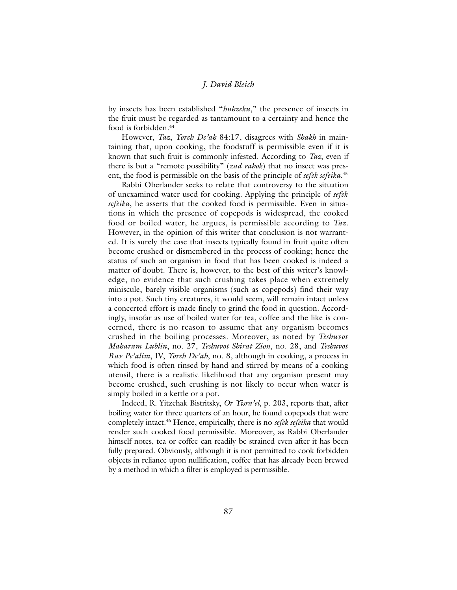by insects has been established "*huhzeku*," the presence of insects in the fruit must be regarded as tantamount to a certainty and hence the food is forbidden.<sup>44</sup>

However, *Taz*, *Yoreh De'ah* 84:17, disagrees with *Shakh* in maintaining that, upon cooking, the foodstuff is permissible even if it is known that such fruit is commonly infested. According to *Taz*, even if there is but a "remote possibility" (*zad rahok*) that no insect was present, the food is permissible on the basis of the principle of *sefek sefeika*. 45

Rabbi Oberlander seeks to relate that controversy to the situation of unexamined water used for cooking. Applying the principle of *sefek sefeika*, he asserts that the cooked food is permissible. Even in situations in which the presence of copepods is widespread, the cooked food or boiled water, he argues, is permissible according to *Taz*. However, in the opinion of this writer that conclusion is not warranted. It is surely the case that insects typically found in fruit quite often become crushed or dismembered in the process of cooking; hence the status of such an organism in food that has been cooked is indeed a matter of doubt. There is, however, to the best of this writer's knowledge, no evidence that such crushing takes place when extremely miniscule, barely visible organisms (such as copepods) find their way into a pot. Such tiny creatures, it would seem, will remain intact unless a concerted effort is made finely to grind the food in question. Accordingly, insofar as use of boiled water for tea, coffee and the like is concerned, there is no reason to assume that any organism becomes crushed in the boiling processes. Moreover, as noted by *Teshuvot Maharam Lublin*, no. 27, *Teshuvot Shirat Zion*, no. 28, and *Teshuvot Rav Pe'alim*, IV, *Yoreh De'ah*, no. 8, although in cooking, a process in which food is often rinsed by hand and stirred by means of a cooking utensil, there is a realistic likelihood that any organism present may become crushed, such crushing is not likely to occur when water is simply boiled in a kettle or a pot.

Indeed, R. Yitzchak Bistritsky, *Or Yisra'el*, p. 203, reports that, after boiling water for three quarters of an hour, he found copepods that were completely intact.46 Hence, empirically, there is no *sefek sefeika* that would render such cooked food permissible. Moreover, as Rabbi Oberlander himself notes, tea or coffee can readily be strained even after it has been fully prepared. Obviously, although it is not permitted to cook forbidden objects in reliance upon nullification, coffee that has already been brewed by a method in which a filter is employed is permissible.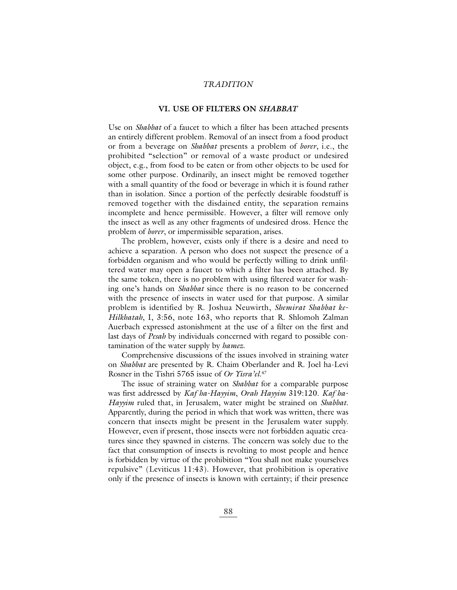# **VI. USE OF FILTERS ON** *SHABBAT*

Use on *Shabbat* of a faucet to which a filter has been attached presents an entirely different problem. Removal of an insect from a food product or from a beverage on *Shabbat* presents a problem of *borer*, i.e., the prohibited "selection" or removal of a waste product or undesired object, e.g., from food to be eaten or from other objects to be used for some other purpose. Ordinarily, an insect might be removed together with a small quantity of the food or beverage in which it is found rather than in isolation. Since a portion of the perfectly desirable foodstuff is removed together with the disdained entity, the separation remains incomplete and hence permissible. However, a filter will remove only the insect as well as any other fragments of undesired dross. Hence the problem of *borer*, or impermissible separation, arises.

The problem, however, exists only if there is a desire and need to achieve a separation. A person who does not suspect the presence of a forbidden organism and who would be perfectly willing to drink unfiltered water may open a faucet to which a filter has been attached. By the same token, there is no problem with using filtered water for washing one's hands on *Shabbat* since there is no reason to be concerned with the presence of insects in water used for that purpose. A similar problem is identified by R. Joshua Neuwirth, *Shemirat Shabbat ke-Hilkhatah*, I, 3:56, note 163, who reports that R. Shlomoh Zalman Auerbach expressed astonishment at the use of a filter on the first and last days of *Pesah* by individuals concerned with regard to possible contamination of the water supply by *hamez*.

Comprehensive discussions of the issues involved in straining water on *Shabbat* are presented by R. Chaim Oberlander and R. Joel ha-Levi Rosner in the Tishri 5765 issue of *Or Yisra'el*. 47

The issue of straining water on *Shabbat* for a comparable purpose was first addressed by *Kaf ha-Hayyim*, *Orah Hayyim* 319:120. *Kaf ha-Hayyim* ruled that, in Jerusalem, water might be strained on *Shabbat*. Apparently, during the period in which that work was written, there was concern that insects might be present in the Jerusalem water supply. However, even if present, those insects were not forbidden aquatic creatures since they spawned in cisterns. The concern was solely due to the fact that consumption of insects is revolting to most people and hence is forbidden by virtue of the prohibition "You shall not make yourselves repulsive" (Leviticus 11:43). However, that prohibition is operative only if the presence of insects is known with certainty; if their presence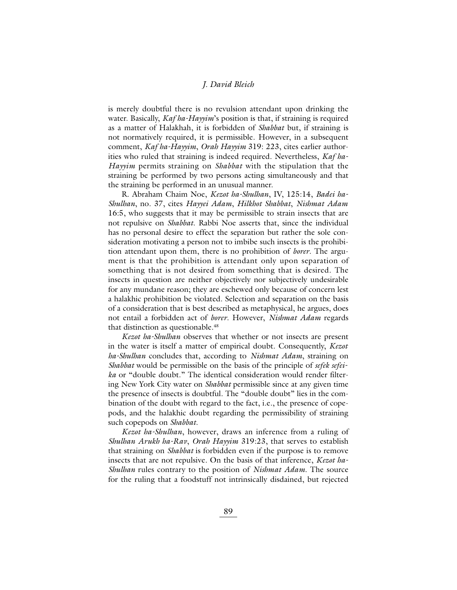is merely doubtful there is no revulsion attendant upon drinking the water. Basically, *Kaf ha-Hayyim*'s position is that, if straining is required as a matter of Halakhah, it is forbidden of *Shabbat* but, if straining is not normatively required, it is permissible. However, in a subsequent comment, *Kaf ha-Hayyim*, *Orah Hayyim* 319: 223, cites earlier authorities who ruled that straining is indeed required. Nevertheless, *Kaf ha-Hayyim* permits straining on *Shabbat* with the stipulation that the straining be performed by two persons acting simultaneously and that the straining be performed in an unusual manner.

R. Abraham Chaim Noe, *Kezot ha-Shulhan*, IV, 125:14, *Badei ha-Shulhan*, no. 37, cites *Hayyei Adam*, *Hilkhot Shabbat*, *Nishmat Adam* 16:5, who suggests that it may be permissible to strain insects that are not repulsive on *Shabbat*. Rabbi Noe asserts that, since the individual has no personal desire to effect the separation but rather the sole consideration motivating a person not to imbibe such insects is the prohibition attendant upon them, there is no prohibition of *borer*. The argument is that the prohibition is attendant only upon separation of something that is not desired from something that is desired. The insects in question are neither objectively nor subjectively undesirable for any mundane reason; they are eschewed only because of concern lest a halakhic prohibition be violated. Selection and separation on the basis of a consideration that is best described as metaphysical, he argues, does not entail a forbidden act of *borer*. However, *Nishmat Adam* regards that distinction as questionable.<sup>48</sup>

*Kezot ha-Shulhan* observes that whether or not insects are present in the water is itself a matter of empirical doubt. Consequently, *Kezot ha-Shulhan* concludes that, according to *Nishmat Adam*, straining on *Shabbat* would be permissible on the basis of the principle of *sefek sefeika* or "double doubt." The identical consideration would render filtering New York City water on *Shabbat* permissible since at any given time the presence of insects is doubtful. The "double doubt" lies in the combination of the doubt with regard to the fact, i.e., the presence of copepods, and the halakhic doubt regarding the permissibility of straining such copepods on *Shabbat*.

*Kezot ha-Shulhan*, however, draws an inference from a ruling of *Shulhan Arukh ha-Rav*, *Orah Hayyim* 319:23, that serves to establish that straining on *Shabbat* is forbidden even if the purpose is to remove insects that are not repulsive. On the basis of that inference, *Kezot ha-Shulhan* rules contrary to the position of *Nishmat Adam*. The source for the ruling that a foodstuff not intrinsically disdained, but rejected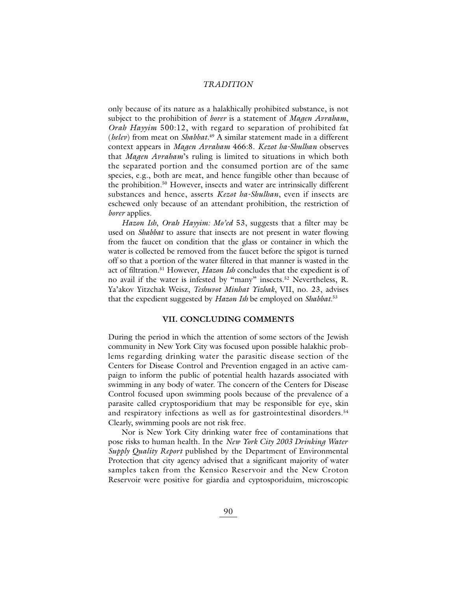only because of its nature as a halakhically prohibited substance, is not subject to the prohibition of *borer* is a statement of *Magen Avraham*, *Orah Hayyim* 500:12, with regard to separation of prohibited fat (*helev*) from meat on *Shabbat*. <sup>49</sup> A similar statement made in a different context appears in *Magen Avraham* 466:8. *Kezot ha-Shulhan* observes that *Magen Avraham*'s ruling is limited to situations in which both the separated portion and the consumed portion are of the same species, e.g., both are meat, and hence fungible other than because of the prohibition.50 However, insects and water are intrinsically different substances and hence, asserts *Kezot ha-Shulhan*, even if insects are eschewed only because of an attendant prohibition, the restriction of *borer* applies.

*Hazon Ish*, *Orah Hayyim: Mo'ed* 53, suggests that a filter may be used on *Shabbat* to assure that insects are not present in water flowing from the faucet on condition that the glass or container in which the water is collected be removed from the faucet before the spigot is turned off so that a portion of the water filtered in that manner is wasted in the act of filtration.51 However, *Hazon Ish* concludes that the expedient is of no avail if the water is infested by "many" insects.52 Nevertheless, R. Ya'akov Yitzchak Weisz, *Teshuvot Minhat Yizhak*, VII, no. 23, advises that the expedient suggested by *Hazon Ish* be employed on *Shabbat*. 53

# **VII. CONCLUDING COMMENTS**

During the period in which the attention of some sectors of the Jewish community in New York City was focused upon possible halakhic problems regarding drinking water the parasitic disease section of the Centers for Disease Control and Prevention engaged in an active campaign to inform the public of potential health hazards associated with swimming in any body of water. The concern of the Centers for Disease Control focused upon swimming pools because of the prevalence of a parasite called cryptosporidium that may be responsible for eye, skin and respiratory infections as well as for gastrointestinal disorders.<sup>54</sup> Clearly, swimming pools are not risk free.

Nor is New York City drinking water free of contaminations that pose risks to human health. In the *New York City 2003 Drinking Water Supply Quality Report* published by the Department of Environmental Protection that city agency advised that a significant majority of water samples taken from the Kensico Reservoir and the New Croton Reservoir were positive for giardia and cyptosporiduim, microscopic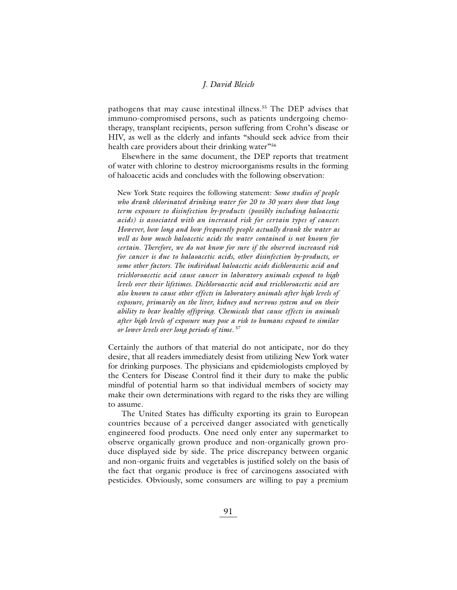pathogens that may cause intestinal illness.<sup>55</sup> The DEP advises that immuno-compromised persons, such as patients undergoing chemotherapy, transplant recipients, person suffering from Crohn's disease or HIV, as well as the elderly and infants "should seek advice from their health care providers about their drinking water"<sup>56</sup>

Elsewhere in the same document, the DEP reports that treatment of water with chlorine to destroy microorganisms results in the forming of haloacetic acids and concludes with the following observation:

New York State requires the following statement: *Some studies of people who drank chlorinated drinking water for 20 to 30 years show that long term exposure to disinfection by-products (possibly including haloacetic acids) is associated with an increased risk for certain types of cancer. However, how long and how frequently people actually drank the water as well as how much haloacetic acids the water contained is not known for certain. Therefore, we do not know for sure if the observed increased risk for cancer is due to halaoacetic acids, other disinfection by-products, or some other factors. The individual haloacetic acids dichloracetic acid and trichloroacetic acid cause cancer in laboratory animals exposed to high levels over their lifetimes. Dichloroacetic acid and trichloroacetic acid are also known to cause other effects in laboratory animals after high levels of exposure, primarily on the liver, kidney and nervous system and on their ability to bear healthy offspring. Chemicals that cause effects in animals after high levels of exposure may pose a risk to humans exposed to similar or lower levels over long periods of time.* <sup>57</sup>

Certainly the authors of that material do not anticipate, nor do they desire, that all readers immediately desist from utilizing New York water for drinking purposes. The physicians and epidemiologists employed by the Centers for Disease Control find it their duty to make the public mindful of potential harm so that individual members of society may make their own determinations with regard to the risks they are willing to assume.

The United States has difficulty exporting its grain to European countries because of a perceived danger associated with genetically engineered food products. One need only enter any supermarket to observe organically grown produce and non-organically grown produce displayed side by side. The price discrepancy between organic and non-organic fruits and vegetables is justified solely on the basis of the fact that organic produce is free of carcinogens associated with pesticides. Obviously, some consumers are willing to pay a premium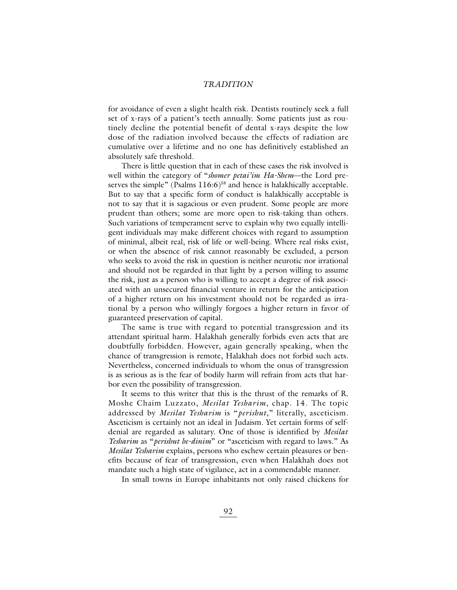for avoidance of even a slight health risk. Dentists routinely seek a full set of x-rays of a patient's teeth annually. Some patients just as routinely decline the potential benefit of dental x-rays despite the low dose of the radiation involved because the effects of radiation are cumulative over a lifetime and no one has definitively established an absolutely safe threshold.

There is little question that in each of these cases the risk involved is well within the category of "*shomer petai'im Ha-Shem*—the Lord preserves the simple" (Psalms 116:6)<sup>58</sup> and hence is halakhically acceptable. But to say that a specific form of conduct is halakhically acceptable is not to say that it is sagacious or even prudent. Some people are more prudent than others; some are more open to risk-taking than others. Such variations of temperament serve to explain why two equally intelligent individuals may make different choices with regard to assumption of minimal, albeit real, risk of life or well-being. Where real risks exist, or when the absence of risk cannot reasonably be excluded, a person who seeks to avoid the risk in question is neither neurotic nor irrational and should not be regarded in that light by a person willing to assume the risk, just as a person who is willing to accept a degree of risk associated with an unsecured financial venture in return for the anticipation of a higher return on his investment should not be regarded as irrational by a person who willingly forgoes a higher return in favor of guaranteed preservation of capital.

The same is true with regard to potential transgression and its attendant spiritual harm. Halakhah generally forbids even acts that are doubtfully forbidden. However, again generally speaking, when the chance of transgression is remote, Halakhah does not forbid such acts. Nevertheless, concerned individuals to whom the onus of transgression is as serious as is the fear of bodily harm will refrain from acts that harbor even the possibility of transgression.

It seems to this writer that this is the thrust of the remarks of R. Moshe Chaim Luzzato, *Mesilat Yesharim*, chap. 14. The topic addressed by *Mesilat Yesharim* is "*perishut*," literally, asceticism. Asceticism is certainly not an ideal in Judaism. Yet certain forms of selfdenial are regarded as salutary. One of those is identified by *Mesilat Yesharim* as "*perishut be-dinim*" or "asceticism with regard to laws." As *Mesilat Yesharim* explains, persons who eschew certain pleasures or benefits because of fear of transgression, even when Halakhah does not mandate such a high state of vigilance, act in a commendable manner.

In small towns in Europe inhabitants not only raised chickens for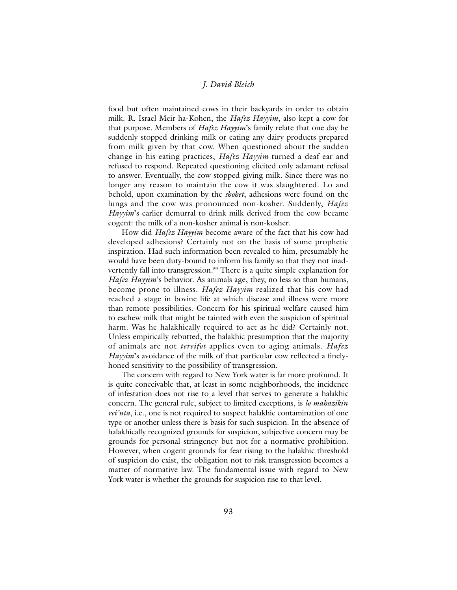food but often maintained cows in their backyards in order to obtain milk. R. Israel Meir ha-Kohen, the *Hafez Hayyim*, also kept a cow for that purpose. Members of *Hafez Hayyim*'s family relate that one day he suddenly stopped drinking milk or eating any dairy products prepared from milk given by that cow. When questioned about the sudden change in his eating practices, *Hafez Hayyim* turned a deaf ear and refused to respond. Repeated questioning elicited only adamant refusal to answer. Eventually, the cow stopped giving milk. Since there was no longer any reason to maintain the cow it was slaughtered. Lo and behold, upon examination by the *shohet*, adhesions were found on the lungs and the cow was pronounced non-kosher. Suddenly, *Hafez Hayyim*'s earlier demurral to drink milk derived from the cow became cogent: the milk of a non-kosher animal is non-kosher.

How did *Hafez Hayyim* become aware of the fact that his cow had developed adhesions? Certainly not on the basis of some prophetic inspiration. Had such information been revealed to him, presumably he would have been duty-bound to inform his family so that they not inadvertently fall into transgression.<sup>59</sup> There is a quite simple explanation for *Hafez Hayyim*'s behavior. As animals age, they, no less so than humans, become prone to illness. *Hafez Hayyim* realized that his cow had reached a stage in bovine life at which disease and illness were more than remote possibilities. Concern for his spiritual welfare caused him to eschew milk that might be tainted with even the suspicion of spiritual harm. Was he halakhically required to act as he did? Certainly not. Unless empirically rebutted, the halakhic presumption that the majority of animals are not *tereifot* applies even to aging animals. *Hafez Hayyim*'s avoidance of the milk of that particular cow reflected a finelyhoned sensitivity to the possibility of transgression.

The concern with regard to New York water is far more profound. It is quite conceivable that, at least in some neighborhoods, the incidence of infestation does not rise to a level that serves to generate a halakhic concern. The general rule, subject to limited exceptions, is *lo mahazikin rei'uta*, i.e., one is not required to suspect halakhic contamination of one type or another unless there is basis for such suspicion. In the absence of halakhically recognized grounds for suspicion, subjective concern may be grounds for personal stringency but not for a normative prohibition. However, when cogent grounds for fear rising to the halakhic threshold of suspicion do exist, the obligation not to risk transgression becomes a matter of normative law. The fundamental issue with regard to New York water is whether the grounds for suspicion rise to that level.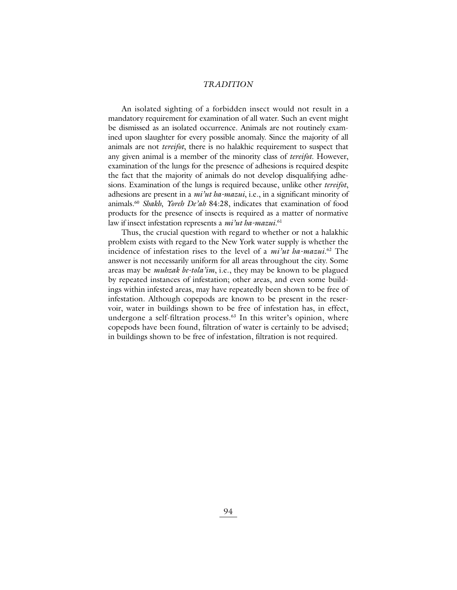An isolated sighting of a forbidden insect would not result in a mandatory requirement for examination of all water. Such an event might be dismissed as an isolated occurrence. Animals are not routinely examined upon slaughter for every possible anomaly. Since the majority of all animals are not *tereifot*, there is no halakhic requirement to suspect that any given animal is a member of the minority class of *tereifot*. However, examination of the lungs for the presence of adhesions is required despite the fact that the majority of animals do not develop disqualifying adhesions. Examination of the lungs is required because, unlike other *tereifot*, adhesions are present in a *mi'ut ha-mazui*, i.e., in a significant minority of animals.60 *Shakh*, *Yoreh De'ah* 84:28, indicates that examination of food products for the presence of insects is required as a matter of normative law if insect infestation represents a *mi'ut ha-mazui*. 61

Thus, the crucial question with regard to whether or not a halakhic problem exists with regard to the New York water supply is whether the incidence of infestation rises to the level of a *mi'ut ha-mazui*. <sup>62</sup> The answer is not necessarily uniform for all areas throughout the city. Some areas may be *muhzak be-tola'im*, i.e., they may be known to be plagued by repeated instances of infestation; other areas, and even some buildings within infested areas, may have repeatedly been shown to be free of infestation. Although copepods are known to be present in the reservoir, water in buildings shown to be free of infestation has, in effect, undergone a self-filtration process.<sup>63</sup> In this writer's opinion, where copepods have been found, filtration of water is certainly to be advised; in buildings shown to be free of infestation, filtration is not required.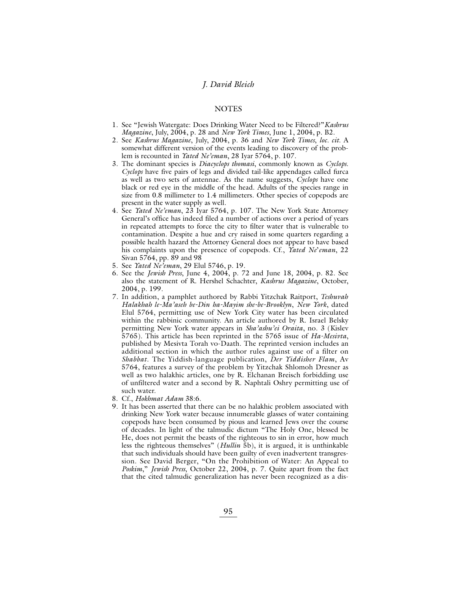# **NOTES**

- 1. See "Jewish Watergate: Does Drinking Water Need to be Filtered?"*Kashrus Magazine*, July, 2004, p. 28 and *New York Times*, June 1, 2004, p. B2.
- 2. See *Kashrus Magazine*, July, 2004, p. 36 and *New York Times*, *loc. cit*. A somewhat different version of the events leading to discovery of the problem is recounted in *Yated Ne'eman*, 28 Iyar 5764, p. 107.
- 3. The dominant species is *Diacyclops thomasi*, commonly known as *Cyclops*. *Cyclops* have five pairs of legs and divided tail-like appendages called furca as well as two sets of antennae. As the name suggests, *Cyclops* have one black or red eye in the middle of the head. Adults of the species range in size from 0.8 millimeter to 1.4 millimeters. Other species of copepods are present in the water supply as well.
- 4. See *Yated Ne'eman*, 23 Iyar 5764, p. 107. The New York State Attorney General's office has indeed filed a number of actions over a period of years in repeated attempts to force the city to filter water that is vulnerable to contamination. Despite a hue and cry raised in some quarters regarding a possible health hazard the Attorney General does not appear to have based his complaints upon the presence of copepods. Cf., *Yated Ne*'*eman*, 22 Sivan 5764, pp. 89 and 98
- 5. See *Yated Ne'eman*, 29 Elul 5746, p. 19.
- 6. See the *Jewish Press*, June 4, 2004, p. 72 and June 18, 2004, p. 82. See also the statement of R. Hershel Schachter, *Kashrus Magazine*, October, 2004, p. 199.
- 7. In addition, a pamphlet authored by Rabbi Yitzchak Raitport, *Teshuvah Halakhah le-Ma'aseh be-Din ha-Mayim she-be-Brooklyn*, *New York*, dated Elul 5764, permitting use of New York City water has been circulated within the rabbinic community. An article authored by R. Israel Belsky permitting New York water appears in *Sha'ashu'ei Oraita*, no. 3 (Kislev 5765). This article has been reprinted in the 5765 issue of *Ha-Mesivta*, published by Mesivta Torah vo-Daath. The reprinted version includes an additional section in which the author rules against use of a filter on *Shabbat*. The Yiddish-language publication, *Der Yiddisher Flam*, Av 5764, features a survey of the problem by Yitzchak Shlomoh Dresner as well as two halakhic articles, one by R. Elchanan Breisch forbidding use of unfiltered water and a second by R. Naphtali Oshry permitting use of such water.
- 8. Cf., *Hokhmat Adam* 38:6.
- 9. It has been asserted that there can be no halakhic problem associated with drinking New York water because innumerable glasses of water containing copepods have been consumed by pious and learned Jews over the course of decades. In light of the talmudic dictum "The Holy One, blessed be He, does not permit the beasts of the righteous to sin in error, how much less the righteous themselves" (*Hullin* 5b), it is argued, it is unthinkable that such individuals should have been guilty of even inadvertent transgression. See David Berger, "On the Prohibition of Water: An Appeal to *Poskim*," *Jewish Press*, October 22, 2004, p. 7. Quite apart from the fact that the cited talmudic generalization has never been recognized as a dis-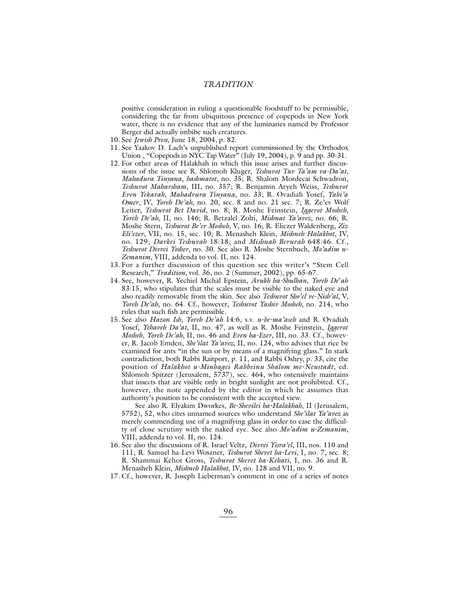positive consideration in ruling a questionable foodstuff to be permissible, considering the far from ubiquitous presence of copepods in New York water, there is no evidence that any of the luminaries named by Professor Berger did actually imbibe such creatures.

- 10. See *Jewish Press*, June 18, 2004, p. 82.
- 11. See Yaakov D. Lach's unpublished report commissioned by the Orthodox Union, "Copepods in NYC Tap Water" (July 19, 2004), p. 9 and pp. 30-31.
- 12. For other areas of Halakhah in which this issue arises and further discussions of the issue see R. Shlomoh Kluger, *Teshuvot Tuv Ta'am va-Da'at*, *Mahadura Tinyana*, *hashmatot*, no. 35; R. Shalom Mordecai Schwadron, *Teshuvot Maharsham*, III, no. 357; R. Benjamin Aryeh Weiss, *Teshuvot Even Yekarah*, *Mahadrura Tinyana*, no. 33; R. Ovadiah Yosef, *Yabi'a Omer*, IV, *Yoreh De'ah*, no. 20, sec. 8 and no. 21 sec. 7; R. Ze'ev Wolf Leiter, *Teshuvot Bet David*, no. 8; R. Moshe Feinstein, *Iggerot Mosheh*, *Yoreh De'ah*, II, no. 146; R. Betzalel Zolti, *Mishnat Ya'avez*, no. 66; R. Moshe Stern, *Teshuvot Be'er Mosheh*, V, no. 16; R. Eliezer Waldenberg, *Ziz Eli'ezer*, VII, no. 15, sec. 10; R. Menasheh Klein, *Mishneh Halakhot*, IV, no. 129; *Darkei Teshuvah* 18:18; and *Mishnah Berurah* 648:46. Cf., *Teshuvot Divrei Yosher*, no. 30. See also R. Moshe Sternbuch, *Mo'adim u-Zemanim*, VIII, addenda to vol. II, no. 124.
- 13. For a further discussion of this question see this writer's "Stem Cell Research," *Tradition*, vol. 36, no. 2 (Summer, 2002), pp. 65-67.
- 14. See, however, R. Yechiel Michal Epstein, *Arukh ha-Shulhan*, *Yoreh De*'*ah* 83:15, who stipulates that the scales must be visible to the naked eye and also readily removable from the skin. See also *Teshuvot Sho'el ve-Nish'al*, V, *Yoreh De'ah*, no. 64. Cf., however, *Teshuvot Yashiv Mosheh*, no. 214, who rules that such fish are permissible.
- 15. See also *Hazon Ish*, *Yoreh De'ah* 14:6, s.v. *u-be-ma'aseh* and R. Ovadiah Yosef, *Yehaveh Da'at*, II, no. 47, as well as R. Moshe Feinstein, *Iggerot Mosheh*, *Yoreh De'ah*, II, no. 46 and *Even ha-Ezer*, III, no. 33. Cf., however, R. Jacob Emden, *She'ilat Ya'avez*, II, no. 124, who advises that rice be examined for ants "in the sun or by means of a magnifying glass." In stark contradiction, both Rabbi Raitport, p. 11, and Rabbi Oshry, p. 33, cite the position of *Halakhot u-Minhagei Rabbeinu Shalom me-Neustadt*, ed. Shlomoh Spitzer (Jerusalem, 5737), sec. 464, who ostensively maintains that insects that are visible only in bright sunlight are not prohibited. Cf., however, the note appended by the editor in which he assumes that authority's position to be consistent with the accepted view.

See also R. Elyakim Dworkes, *Be-Shevilei ha-Halakhah*, II (Jerusalem, 5752), 52, who cites unnamed sources who understand *She'ilat Ya'avez* as merely commending use of a magnifying glass in order to ease the difficulty of close scrutiny with the naked eye. See also *Mo'adim u-Zemanim*, VIII, addenda to vol. II, no. 124.

- 16. See also the discussions of R. Israel Veltz, *Divrei Yisra'el*, III, nos. 110 and 111; R. Samuel ha-Levi Woszner, *Teshuvot Shevet ha-Levi*, I, no. 7, sec. 8; R. Shammai Kehot Gross, *Teshuvot Shevet ha-Kehati*, I, no. 36 and R. Menasheh Klein, *Mishneh Halakhot*, IV, no. 128 and VII, no. 9.
- 17. Cf., however, R. Joseph Lieberman's comment in one of a series of notes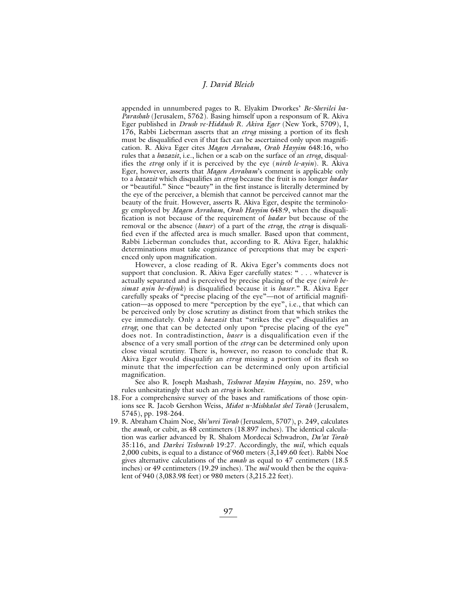appended in unnumbered pages to R. Elyakim Dworkes' *Be-Shevilei ha-Parashah* (Jerusalem, 5762). Basing himself upon a responsum of R. Akiva Eger published in *Drush ve-Hiddush R. Akiva Eger* (New York, 5709), I, 176, Rabbi Lieberman asserts that an *etrog* missing a portion of its flesh must be disqualified even if that fact can be ascertained only upon magnification. R. Akiva Eger cites *Magen Avraham*, *Orah Hayyim* 648:16, who rules that a *hazazit*, i.e., lichen or a scab on the surface of an *etrog*, disqualifies the *etrog* only if it is perceived by the eye (*nireh le-ayin*). R. Akiva Eger, however, asserts that *Magen Avraham*'s comment is applicable only to a *hazazit* which disqualifies an *etrog* because the fruit is no longer *hadar* or "beautiful." Since "beauty" in the first instance is literally determined by the eye of the perceiver, a blemish that cannot be perceived cannot mar the beauty of the fruit. However, asserts R. Akiva Eger, despite the terminology employed by *Magen Avraham*, *Orah Hayyim* 648:9, when the disqualification is not because of the requirement of *hadar* but because of the removal or the absence (*haser*) of a part of the *etrog*, the *etrog* is disqualified even if the affected area is much smaller. Based upon that comment, Rabbi Lieberman concludes that, according to R. Akiva Eger, halakhic determinations must take cognizance of perceptions that may be experienced only upon magnification.

However, a close reading of R. Akiva Eger's comments does not support that conclusion. R. Akiva Eger carefully states: " . . . whatever is actually separated and is perceived by precise placing of the eye (*nireh besimat ayin be-diyuk*) is disqualified because it is *haser*." R. Akiva Eger carefully speaks of "precise placing of the eye"—not of artificial magnification—as opposed to mere "perception by the eye", i.e., that which can be perceived only by close scrutiny as distinct from that which strikes the eye immediately. Only a *hazazit* that "strikes the eye" disqualifies an *etrog*; one that can be detected only upon "precise placing of the eye" does not. In contradistinction, *haser* is a disqualification even if the absence of a very small portion of the *etrog* can be determined only upon close visual scrutiny. There is, however, no reason to conclude that R. Akiva Eger would disqualify an *etrog* missing a portion of its flesh so minute that the imperfection can be determined only upon artificial magnification.

See also R. Joseph Mashash, *Teshuvot Mayim Hayyim*, no. 259, who rules unhesitatingly that such an *etrog* is kosher.

- 18. For a comprehensive survey of the bases and ramifications of those opinions see R. Jacob Gershon Weiss, *Midot u-Mishkalot shel Torah* (Jerusalem, 5745), pp. 198-264.
- 19. R. Abraham Chaim Noe, *Shi'urei Torah* (Jerusalem, 5707), p. 249, calculates the *amah*, or cubit, as 48 centimeters (18.897 inches). The identical calculation was earlier advanced by R. Shalom Mordecai Schwadron, *Da'at Torah* 35:116, and *Darkei Teshuvah* 19:27. Accordingly, the *mil*, which equals 2,000 cubits, is equal to a distance of 960 meters (3,149.60 feet). Rabbi Noe gives alternative calculations of the *amah* as equal to 47 centimeters (18.5 inches) or 49 centimeters (19.29 inches). The *mil* would then be the equivalent of 940 (3,083.98 feet) or 980 meters (3,215.22 feet).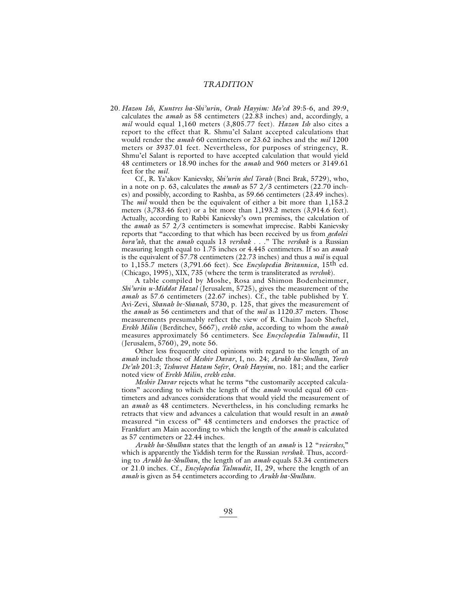20. *Hazon Ish*, *Kuntres ha-Shi'urin*, *Orah Hayyim: Mo'ed* 39:5-6, and 39:9, calculates the *amah* as 58 centimeters (22.83 inches) and, accordingly, a *mil* would equal 1,160 meters (3,805.77 feet). *Hazon Ish* also cites a report to the effect that R. Shmu'el Salant accepted calculations that would render the *amah* 60 centimeters or 23.62 inches and the *mil* 1200 meters or 3937.01 feet. Nevertheless, for purposes of stringency, R. Shmu'el Salant is reported to have accepted calculation that would yield 48 centimeters or 18.90 inches for the *amah* and 960 meters or 3149.61 feet for the *mil.*

Cf., R. Ya'akov Kanievsky, *Shi'urin shel Torah* (Bnei Brak, 5729), who, in a note on p. 63, calculates the *amah* as 57 2/3 centimeters (22.70 inches) and possibly, according to Rashba, as 59.66 centimeters (23.49 inches). The *mil* would then be the equivalent of either a bit more than 1,153.2 meters (3,783.46 feet) or a bit more than 1,193.2 meters (3,914.6 feet). Actually, according to Rabbi Kanievsky's own premises, the calculation of the *amah* as 57 2/3 centimeters is somewhat imprecise. Rabbi Kanievsky reports that "according to that which has been received by us from *gedolei hora'ah*, that the *amah* equals 13 *vershak* . . ." The *vershak* is a Russian measuring length equal to 1.75 inches or 4.445 centimeters. If so an *amah* is the equivalent of 57.78 centimeters (22.73 inches) and thus a *mil* is equal to 1,155.7 meters (3,791.66 feet). See *Encylopedia Britannica*, 15th ed. (Chicago, 1995), XIX, 735 (where the term is transliterated as *verchok*).

A table compiled by Moshe, Rosa and Shimon Bodenheimmer, *Shi'urin u-Middot Hazal* (Jerusalem, 5725), gives the measurement of the *amah* as 57.6 centimeters (22.67 inches). Cf., the table published by Y. Avi-Zevi, *Shanah be-Shanah*, 5730, p. 125, that gives the measurement of the *amah* as 56 centimeters and that of the *mil* as 1120.37 meters. Those measurements presumably reflect the view of R. Chaim Jacob Sheftel, *Erekh Milin* (Berditchev, 5667), *erekh ezba*, according to whom the *amah* measures approximately 56 centimeters. See *Encyclopedia Talmudit*, II (Jerusalem, 5760), 29, note 56.

Other less frequently cited opinions with regard to the length of an *amah* include those of *Meshiv Davar*, I, no. 24; *Arukh ha-Shulhan*, *Yoreh De'ah* 201:3; *Teshuvot Hatam Sofer*, *Orah Hayyim*, no. 181; and the earlier noted view of *Erekh Milin*, *erekh ezba*.

*Meshiv Davar* rejects what he terms "the customarily accepted calculations" according to which the length of the *amah* would equal 60 centimeters and advances considerations that would yield the measurement of an *amah* as 48 centimeters. Nevertheless, in his concluding remarks he retracts that view and advances a calculation that would result in an *amah* measured "in excess of" 48 centimeters and endorses the practice of Frankfurt am Main according to which the length of the *amah* is calculated as 57 centimeters or 22.44 inches.

*Arukh ha-Shulhan* states that the length of an *amah* is 12 "*veierskes*," which is apparently the Yiddish term for the Russian *vershak*. Thus, according to *Arukh ha-Shulhan*, the length of an *amah* equals 53.34 centimeters or 21.0 inches. Cf., *Encylopedia Talmudit*, II, 29, where the length of an *amah* is given as 54 centimeters according to *Arukh ha-Shulhan*.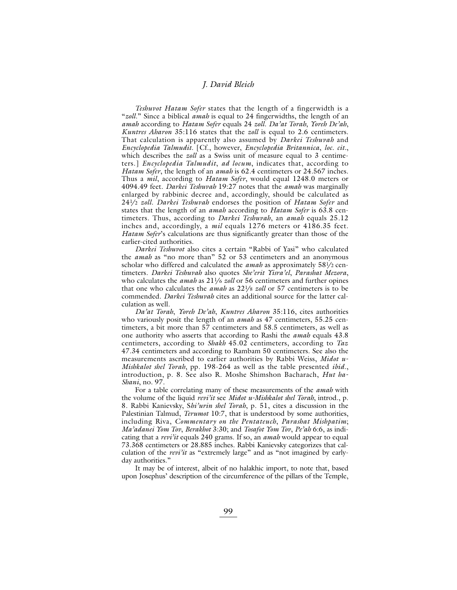*Teshuvot Hatam Sofer* states that the length of a fingerwidth is a "*zoll*." Since a biblical *amah* is equal to 24 fingerwidths, the length of an *amah* according to *Hatam Sofer* equals 24 *zoll*. *Da'at Torah*, *Yoreh De'ah*, *Kuntres Aharon* 35:116 states that the *zoll* is equal to 2.6 centimeters. That calculation is apparently also assumed by *Darkei Teshuvah* and *Encyclopedia Talmudit*. [Cf., however, *Encyclopedia Britannica*, *loc. cit.*, which describes the *zoll* as a Swiss unit of measure equal to 3 centimeters.] *Encyclopedia Talmudit*, *ad locum*, indicates that, according to *Hatam Sofer*, the length of an *amah* is 62.4 centimeters or 24.567 inches. Thus a *mil*, according to *Hatam Sofer*, would equal 1248.0 meters or 4094.49 feet. *Darkei Teshuvah* 19:27 notes that the *amah* was marginally enlarged by rabbinic decree and, accordingly, should be calculated as 241 /2 *zoll*. *Darkei Teshuvah* endorses the position of *Hatam Sofer* and states that the length of an *amah* according to *Hatam Sofer* is 63.8 centimeters. Thus, according to *Darkei Teshuvah*, an *amah* equals 25.12 inches and, accordingly, a *mil* equals 1276 meters or 4186.35 feet. *Hatam Sofer*'s calculations are thus significantly greater than those of the earlier-cited authorities.

*Darkei Teshuvot* also cites a certain "Rabbi of Yasi" who calculated the *amah* as "no more than" 52 or 53 centimeters and an anonymous scholar who differed and calculated the *amah* as approximately 581 /2 centimeters. *Darkei Teshuvah* also quotes *She'erit Yisra'el*, *Parashat Mezora*, who calculates the *amah* as 211/6 *zoll* or 56 centimeters and further opines that one who calculates the *amah* as 221 /8 *zoll* or 57 centimeters is to be commended. *Darkei Teshuvah* cites an additional source for the latter calculation as well.

*Da'at Torah*, *Yoreh De'ah*, *Kuntres Aharon* 35:116, cites authorities who variously posit the length of an *amah* as 47 centimeters, 55.25 centimeters, a bit more than 57 centimeters and 58.5 centimeters, as well as one authority who asserts that according to Rashi the *amah* equals 43.8 centimeters, according to *Shakh* 45.02 centimeters, according to *Taz* 47.34 centimeters and according to Rambam 50 centimeters. See also the measurements ascribed to earlier authorities by Rabbi Weiss, *Midot u-Mishkalot shel Torah*, pp. 198-264 as well as the table presented *ibid*., introduction, p. 8. See also R. Moshe Shimshon Bacharach, *Hut ha-Shani*, no. 97.

For a table correlating many of these measurements of the *amah* with the volume of the liquid *revi'it* see *Midot u-Mishkalot shel Torah*, introd., p. 8. Rabbi Kanievsky, S*hi'urin shel Torah*, p. 51, cites a discussion in the Palestinian Talmud, *Terumot* 10:7, that is understood by some authorities, including Riva, *Commentary on the Pentateuch*, *Parashat Mishpatim*; *Ma'adanei Yom Tov*, *Berakhot* 3:30; and *Tosafot Yom Tov*, *Pe'ah* 6:6, as indicating that a *revi'it* equals 240 grams. If so, an *amah* would appear to equal 73.368 centimeters or 28.885 inches. Rabbi Kanievsky categorizes that calculation of the *revi'it* as "extremely large" and as "not imagined by earlyday authorities."

It may be of interest, albeit of no halakhic import, to note that, based upon Josephus' description of the circumference of the pillars of the Temple,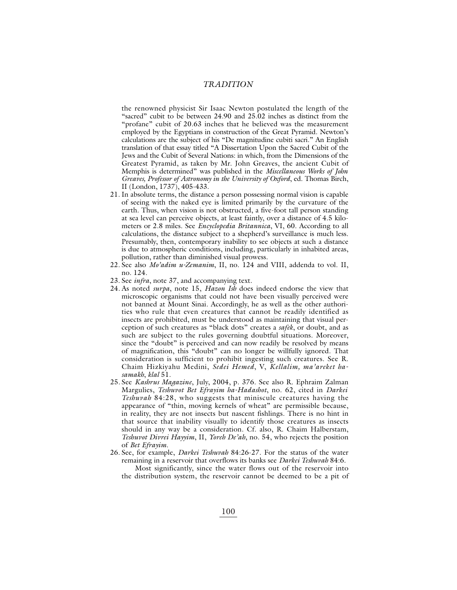the renowned physicist Sir Isaac Newton postulated the length of the "sacred" cubit to be between 24.90 and 25.02 inches as distinct from the "profane" cubit of 20.63 inches that he believed was the measurement employed by the Egyptians in construction of the Great Pyramid. Newton's calculations are the subject of his "De magnitudine cubiti sacri." An English translation of that essay titled "A Dissertation Upon the Sacred Cubit of the Jews and the Cubit of Several Nations: in which, from the Dimensions of the Greatest Pyramid, as taken by Mr. John Greaves, the ancient Cubit of Memphis is determined" was published in the *Miscellaneous Works of John Greaves, Professor of Astronomy in the University of Oxford*, ed. Thomas Birch, II (London, 1737), 405-433.

- 21. In absolute terms, the distance a person possessing normal vision is capable of seeing with the naked eye is limited primarily by the curvature of the earth. Thus, when vision is not obstructed, a five-foot tall person standing at sea level can perceive objects, at least faintly, over a distance of 4.5 kilometers or 2.8 miles. See *Encyclopedia Britannica*, VI, 60. According to all calculations, the distance subject to a shepherd's surveillance is much less. Presumably, then, contemporary inability to see objects at such a distance is due to atmospheric conditions, including, particularly in inhabited areas, pollution, rather than diminished visual prowess.
- 22. See also *Mo'adim u-Zemanim*, II, no. 124 and VIII, addenda to vol. II, no. 124.
- 23. See *infra*, note 37, and accompanying text.
- 24. As noted *surpa*, note 15, *Hazon Ish* does indeed endorse the view that microscopic organisms that could not have been visually perceived were not banned at Mount Sinai. Accordingly, he as well as the other authorities who rule that even creatures that cannot be readily identified as insects are prohibited, must be understood as maintaining that visual perception of such creatures as "black dots" creates a *safek*, or doubt, and as such are subject to the rules governing doubtful situations. Moreover, since the "doubt" is perceived and can now readily be resolved by means of magnification, this "doubt" can no longer be willfully ignored. That consideration is sufficient to prohibit ingesting such creatures. See R. Chaim Hizkiyahu Medini, *Sedei Hemed*, V, *Kellalim, ma'areket hasamakh*, *klal* 51.
- 25. See *Kashrus Magazine*, July, 2004, p. 376. See also R. Ephraim Zalman Margulies, *Teshuvot Bet Efrayim ha-Hadashot*, no. 62, cited in *Darkei Teshuvah* 84:28, who suggests that miniscule creatures having the appearance of "thin, moving kernels of wheat" are permissible because, in reality, they are not insects but nascent fishlings. There is no hint in that source that inability visually to identify those creatures as insects should in any way be a consideration. Cf. also, R. Chaim Halberstam, *Teshuvot Divrei Hayyim*, II, *Yoreh De'ah*, no. 54, who rejects the position of *Bet Efrayim*.
- 26. See, for example, *Darkei Teshuvah* 84:26-27. For the status of the water remaining in a reservoir that overflows its banks see *Darkei Teshuvah* 84:6. Most significantly, since the water flows out of the reservoir into

the distribution system, the reservoir cannot be deemed to be a pit of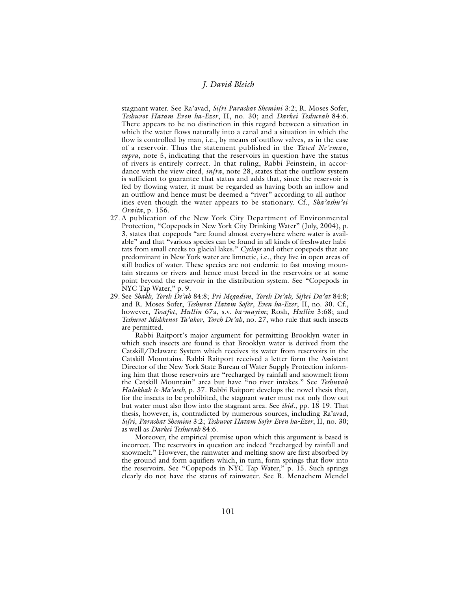stagnant water. See Ra'avad, *Sifri Parashat Shemini* 3:2; R. Moses Sofer, *Teshuvot Hatam Even ha-Ezer*, II, no. 30; and *Darkei Teshuvah* 84:6. There appears to be no distinction in this regard between a situation in which the water flows naturally into a canal and a situation in which the flow is controlled by man, i.e., by means of outflow valves, as in the case of a reservoir. Thus the statement published in the *Yated Ne'eman*, *supra*, note 5, indicating that the reservoirs in question have the status of rivers is entirely correct. In that ruling, Rabbi Feinstein, in accordance with the view cited, *infra*, note 28, states that the outflow system is sufficient to guarantee that status and adds that, since the reservoir is fed by flowing water, it must be regarded as having both an inflow and an outflow and hence must be deemed a "river" according to all authorities even though the water appears to be stationary. Cf., *Sha'ashu'ei Oraita*, p. 156.

- 27. A publication of the New York City Department of Environmental Protection, "Copepods in New York City Drinking Water" (July, 2004), p. 3, states that copepods "are found almost everywhere where water is available" and that "various species can be found in all kinds of freshwater habitats from small creeks to glacial lakes." *Cyclops* and other copepods that are predominant in New York water are limnetic, i.e., they live in open areas of still bodies of water. These species are not endemic to fast moving mountain streams or rivers and hence must breed in the reservoirs or at some point beyond the reservoir in the distribution system. See "Copepods in NYC Tap Water," p. 9.
- 29. See *Shakh, Yoreh De'ah* 84:8; *Pri Megadim*, *Yoreh De'ah, Siftei Da'at* 84:8; and R. Moses Sofer, *Teshuvot Hatam Sofer*, *Even ha-Ezer*, II, no. 30. Cf., however, *Tosafot*, *Hullin* 67a, s.v. *ba-mayim*; Rosh, *Hullin* 3:68; and *Teshuvot Mishkenot Ya'akov*, *Yoreh De'ah*, no. 27, who rule that such insects are permitted.

Rabbi Raitport's major argument for permitting Brooklyn water in which such insects are found is that Brooklyn water is derived from the Catskill/Delaware System which receives its water from reservoirs in the Catskill Mountains. Rabbi Raitport received a letter form the Assistant Director of the New York State Bureau of Water Supply Protection informing him that those reservoirs are "recharged by rainfall and snowmelt from the Catskill Mountain" area but have "no river intakes." See *Teshuvah Halakhah le-Ma'aseh*, p. 37. Rabbi Raitport develops the novel thesis that, for the insects to be prohibited, the stagnant water must not only flow out but water must also flow into the stagnant area. See *ibid*., pp. 18-19. That thesis, however, is, contradicted by numerous sources, including Ra'avad, *Sifri*, *Parashat Shemini* 3:2; *Teshuvot Hatam Sofer Even ha-Ezer*, II, no. 30; as well as *Darkei Teshuvah* 84:6.

Moreover, the empirical premise upon which this argument is based is incorrect. The reservoirs in question are indeed "recharged by rainfall and snowmelt." However, the rainwater and melting snow are first absorbed by the ground and form aquifiers which, in turn, form springs that flow into the reservoirs. See "Copepods in NYC Tap Water," p. 15. Such springs clearly do not have the status of rainwater. See R. Menachem Mendel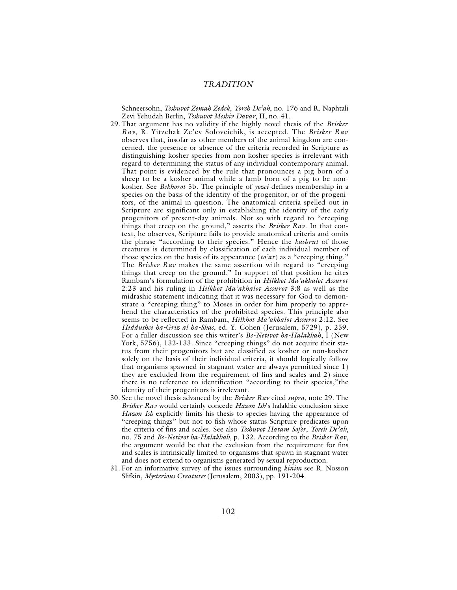Schneersohn, *Teshuvot Zemah Zedek*, *Yoreh De'ah*, no. 176 and R. Naphtali Zevi Yehudah Berlin, *Teshuvot Meshiv Davar*, II, no. 41.

- 29. That argument has no validity if the highly novel thesis of the *Brisker Rav*, R. Yitzchak Ze'ev Soloveichik, is accepted. The *Brisker Rav* observes that, insofar as other members of the animal kingdom are concerned, the presence or absence of the criteria recorded in Scripture as distinguishing kosher species from non-kosher species is irrelevant with regard to determining the status of any individual contemporary animal. That point is evidenced by the rule that pronounces a pig born of a sheep to be a kosher animal while a lamb born of a pig to be nonkosher. See *Bekhorot* 5b. The principle of *yozei* defines membership in a species on the basis of the identity of the progenitor, or of the progenitors, of the animal in question. The anatomical criteria spelled out in Scripture are significant only in establishing the identity of the early progenitors of present-day animals. Not so with regard to "creeping things that creep on the ground," asserts the *Brisker Rav*. In that context, he observes, Scripture fails to provide anatomical criteria and omits the phrase "according to their species." Hence the *kashrut* of those creatures is determined by classification of each individual member of those species on the basis of its appearance (*to'ar*) as a "creeping thing." The *Brisker Rav* makes the same assertion with regard to "creeping things that creep on the ground." In support of that position he cites Rambam's formulation of the prohibition in *Hilkhot Ma'akhalot Assurot* 2:23 and his ruling in *Hilkhot Ma'akhalot Assurot* 3:8 as well as the midrashic statement indicating that it was necessary for God to demonstrate a "creeping thing" to Moses in order for him properly to apprehend the characteristics of the prohibited species. This principle also seems to be reflected in Rambam, *Hilkhot Ma'akhalot Assurot* 2:12. See *Hiddushei ha-Griz al ha-Shas*, ed. Y. Cohen (Jerusalem, 5729), p. 259. For a fuller discussion see this writer's *Be-Netivot ha-Halakhah*, I (New York, 5756), 132-133. Since "creeping things" do not acquire their status from their progenitors but are classified as kosher or non-kosher solely on the basis of their individual criteria, it should logically follow that organisms spawned in stagnant water are always permitted since 1) they are excluded from the requirement of fins and scales and 2) since there is no reference to identification "according to their species,"the identity of their progenitors is irrelevant.
- 30. See the novel thesis advanced by the *Brisker Rav* cited *supra*, note 29. The *Brisker Rav* would certainly concede *Hazon Ish*'s halakhic conclusion since *Hazon Ish* explicitly limits his thesis to species having the appearance of "creeping things" but not to fish whose status Scripture predicates upon the criteria of fins and scales. See also *Teshuvot Hatam Sofer*, *Yoreh De'ah*, no. 75 and *Be-Netivot ha-Halakhah*, p. 132. According to the *Brisker Rav*, the argument would be that the exclusion from the requirement for fins and scales is intrinsically limited to organisms that spawn in stagnant water and does not extend to organisms generated by sexual reproduction.
- 31. For an informative survey of the issues surrounding *kinim* see R. Nosson Slifkin, *Mysterious Creatures* (Jerusalem, 2003), pp. 191-204.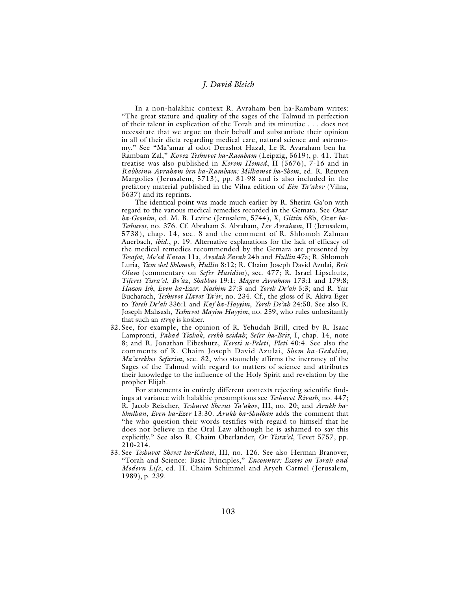In a non-halakhic context R. Avraham ben ha-Rambam writes: "The great stature and quality of the sages of the Talmud in perfection of their talent in explication of the Torah and its minutiae . . . does not necessitate that we argue on their behalf and substantiate their opinion in all of their dicta regarding medical care, natural science and astronomy." See "Ma'amar al odot Derashot Hazal, Le-R. Avaraham ben ha-Rambam Zal," *Kovez Teshuvot ha-Rambam* (Leipzig, 5619), p. 41. That treatise was also published in *Kerem Hemed*, II (5676), 7-16 and in *Rabbeinu Avraham ben ha-Rambam: Milhamot ha-Shem*, ed. R. Reuven Margolies (Jerusalem, 5713), pp. 81-98 and is also included in the prefatory material published in the Vilna edition of *Ein Ya'akov* (Vilna, 5637) and its reprints.

The identical point was made much earlier by R. Sherira Ga'on with regard to the various medical remedies recorded in the Gemara. See *Ozar ha-Geonim*, ed. M. B. Levine (Jerusalem, 5744), X, *Gittin* 68b, *Ozar ha-Teshuvot*, no. 376. Cf. Abraham S. Abraham, *Lev Avraham*, II (Jerusalem, 5738), chap. 14, sec. 8 and the comment of R. Shlomoh Zalman Auerbach, *ibid*., p. 19. Alternative explanations for the lack of efficacy of the medical remedies recommended by the Gemara are presented by *Tosafot*, *Mo'ed Katan* 11a, *Avodah Zarah* 24b and *Hullin* 47a; R. Shlomoh Luria, *Yam shel Shlomoh*, *Hullin* 8:12; R. Chaim Joseph David Azulai, *Brit Olam* (commentary on *Sefer Hasidim*), sec. 477; R. Israel Lipschutz, *Tiferet Yisra'el*, *Bo'az*, *Shabbat* 19:1; *Magen Avraham* 173:1 and 179:8; *Hazon Ish*, *Even ha-Ezer*: *Nashim* 27:3 and *Yoreh De'ah* 5:3; and R. Yair Bucharach, *Teshuvot Havot Ya'ir*, no. 234. Cf., the gloss of R. Akiva Eger to *Yoreh De'ah* 336:1 and *Kaf ha-Hayyim*, *Yoreh De'ah* 24:50. See also R. Joseph Mahsash, *Teshuvot Mayim Hayyim*, no. 259, who rules unhesitantly that such an *etrog* is kosher.

32. See, for example, the opinion of R. Yehudah Brill, cited by R. Isaac Lampronti, *Pahad Yizhak*, *erekh zeidah*; *Sefer ha-Brit*, I, chap. 14, note 8; and R. Jonathan Eibeshutz, *Kereti u-Peleti*, *Pleti* 40:4. See also the comments of R. Chaim Joseph David Azulai, *Shem ha-Gedolim*, *Ma'arekhet Sefarim*, sec. 82, who staunchly affirms the inerrancy of the Sages of the Talmud with regard to matters of science and attributes their knowledge to the influence of the Holy Spirit and revelation by the prophet Elijah.

For statements in entirely different contexts rejecting scientific findings at variance with halakhic presumptions see *Teshuvot Rivash*, no. 447; R. Jacob Reischer, *Teshuvot Shevut Ya'akov*, III, no. 20; and *Arukh ha-Shulhan*, *Even ha-Ezer* 13:30*. Arukh ha-Shulhan* adds the comment that "he who question their words testifies with regard to himself that he does not believe in the Oral Law although he is ashamed to say this explicitly." See also R. Chaim Oberlander, *Or Yisra'el*, Tevet 5757, pp. 210-214.

33. See *Teshuvot Shevet ha-Kehati*, III, no. 126. See also Herman Branover, "Torah and Science: Basic Principles," *Encounter: Essays on Torah and Modern Life*, ed. H. Chaim Schimmel and Aryeh Carmel (Jerusalem, 1989), p. 239.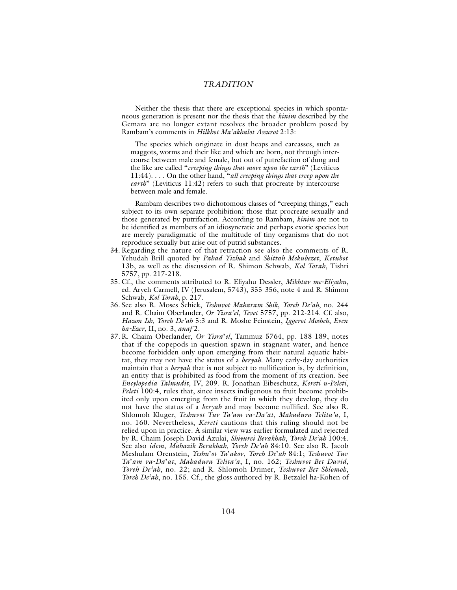Neither the thesis that there are exceptional species in which spontaneous generation is present nor the thesis that the *kinim* described by the Gemara are no longer extant resolves the broader problem posed by Rambam's comments in *Hilkhot Ma'akhalot Assurot* 2:13:

The species which originate in dust heaps and carcasses, such as maggots, worms and their like and which are born, not through intercourse between male and female, but out of putrefaction of dung and the like are called "*creeping things that move upon the earth*" (Leviticus 11:44). . . . On the other hand, "*all creeping things that creep upon the earth*" (Leviticus 11:42) refers to such that procreate by intercourse between male and female.

Rambam describes two dichotomous classes of "creeping things," each subject to its own separate prohibition: those that procreate sexually and those generated by putrifaction. According to Rambam, *kinim* are not to be identified as members of an idiosyncratic and perhaps exotic species but are merely paradigmatic of the multitude of tiny organisms that do not reproduce sexually but arise out of putrid substances.

- 34. Regarding the nature of that retraction see also the comments of R. Yehudah Brill quoted by *Pahad Yizhak* and *Shittah Mekubezet*, *Ketubot* 13b, as well as the discussion of R. Shimon Schwab, *Kol Torah*, Tishri 5757, pp. 217-218.
- 35. Cf., the comments attributed to R. Eliyahu Dessler, *Mikhtav me-Eliyahu*, ed. Aryeh Carmell, IV (Jerusalem, 5743), 355-356, note 4 and R. Shimon Schwab, *Kol Torah*, p. 217.
- 36. See also R. Moses Schick, *Teshuvot Maharam Shik*, *Yoreh De'ah*, no. 244 and R. Chaim Oberlander, *Or Yisra'el*, *Tevet* 5757, pp. 212-214. Cf. also, *Hazon Ish*, *Yoreh De'ah* 5:3 and R. Moshe Feinstein, *Iggerot Mosheh*, *Even ha-Ezer*, II, no. 3, *anaf* 2.
- 37. R. Chaim Oberlander, *Or Yisra*'*el*, Tammuz 5764, pp. 188-189, notes that if the copepods in question spawn in stagnant water, and hence become forbidden only upon emerging from their natural aquatic habitat, they may not have the status of a *beryah*. Many early-day authorities maintain that a *beryah* that is not subject to nullification is, by definition, an entity that is prohibited as food from the moment of its creation. See *Encylopedia Talmudit*, IV, 209. R. Jonathan Eibeschutz, *Kereti u-Peleti*, *Peleti* 100:4, rules that, since insects indigenous to fruit become prohibited only upon emerging from the fruit in which they develop, they do not have the status of a *beryah* and may become nullified. See also R. Shlomoh Kluger, *Teshuvot Tuv Ta'am va-Da'at*, *Mahadura Telita'a*, I, no. 160. Nevertheless, *Kereti* cautions that this ruling should not be relied upon in practice. A similar view was earlier formulated and rejected by R. Chaim Joseph David Azulai, *Shiyurei Berakhah*, *Yoreh De'ah* 100:4. See also *idem*, *Mahazik Berakhah*, *Yoreh De'ah* 84:10. See also R. Jacob Meshulam Orenstein, *Yeshu*'*ot Ya*'*akov*, *Yoreh De*'*ah* 84:1; *Teshuvot Tuv Ta*'*am va-Da*'*at*, *Mahadura Telita'a*, I, no. 162; *Teshuvot Bet David*, *Yoreh De'ah*, no. 22; and R. Shlomoh Drimer, *Teshuvot Bet Shlomoh*, *Yoreh De'ah*, no. 155. Cf., the gloss authored by R. Betzalel ha-Kohen of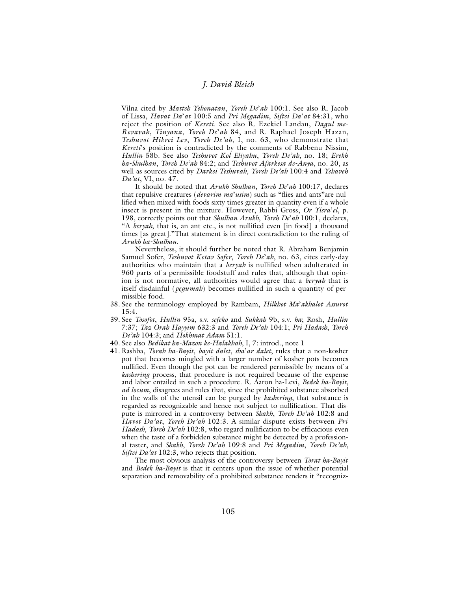Vilna cited by *Matteh Yehonatan*, *Yoreh De*'*ah* 100:1. See also R. Jacob of Lissa, *Havat Da*'*at* 100:5 and *Pri Megadim*, *Siftei Da*'*at* 84:31, who reject the position of *Kereti*. See also R. Ezekiel Landau, *Dagul me-Revavah*, *Tinyana*, *Yoreh De*'*ah* 84, and R. Raphael Joseph Hazan, *Teshuvot Hikrei Lev*, *Yoreh De'ah*, I, no. 63, who demonstrate that *Kereti*'s position is contradicted by the comments of Rabbenu Nissim, *Hullin* 58b. See also *Teshuvot Kol Eliyahu*, *Yoreh De'ah*, no. 18; *Erekh ha-Shulhan*, *Yoreh De'ah* 84:2; and *Teshuvot Afarkesa de-Anya*, no. 20, as well as sources cited by *Darkei Teshuvah*, *Yoreh De'ah* 100:4 and *Yehaveh Da'at*, VI, no. 47.

It should be noted that *Arukh Shulhan*, *Yoreh De*'*ah* 100:17, declares that repulsive creatures (*devarim ma*'*usim*) such as "flies and ants"are nullified when mixed with foods sixty times greater in quantity even if a whole insect is present in the mixture. However, Rabbi Gross, *Or Yisra*'*el*, p. 198, correctly points out that *Shulhan Arukh*, *Yoreh De*'*ah* 100:1, declares, "A *beryah*, that is, an ant etc., is not nullified even [in food] a thousand times [as great]."That statement is in direct contradiction to the ruling of *Arukh ha-Shulhan.*

Nevertheless, it should further be noted that R. Abraham Benjamin Samuel Sofer, *Teshuvot Ketav Sofer*, *Yoreh De*'*ah*, no. 63, cites early-day authorities who maintain that a *beryah* is nullified when adulterated in 960 parts of a permissible foodstuff and rules that, although that opinion is not normative, all authorities would agree that a *beryah* that is itself disdainful (*pegumah*) becomes nullified in such a quantity of permissible food.

- 38. See the terminology employed by Rambam, *Hilkhot Ma*'*akhalot Assurot* 15:4.
- 39. See *Tosofot*, *Hullin* 95a, s.v. *sefeko* and *Sukkah* 9b, s.v. *ha*; Rosh, *Hullin* 7:37; *Taz Orah Hayyim* 632:3 and *Yoreh De'ah* 104:1; *Pri Hadash*, *Yoreh De'ah* 104:3; and *Hokhmat Adam* 51:1.
- 40. See also *Bedikat ha-Mazon ke-Halakhah*, I, 7: introd., note 1
- 41. Rashba, *Torah ha-Bayit*, *bayit dalet*, *sha*'*ar dalet*, rules that a non-kosher pot that becomes mingled with a larger number of kosher pots becomes nullified. Even though the pot can be rendered permissible by means of a *kashering* process, that procedure is not required because of the expense and labor entailed in such a procedure. R. Aaron ha-Levi, *Bedek ha-Bayit*, *ad locum*, disagrees and rules that, since the prohibited substance absorbed in the walls of the utensil can be purged by *kashering*, that substance is regarded as recognizable and hence not subject to nullification. That dispute is mirrored in a controversy between *Shakh*, *Yoreh De'ah* 102:8 and *Havot Da'at*, *Yoreh De'ah* 102:3. A similar dispute exists between *Pri Hadash*, *Yoreh De'ah* 102:8, who regard nullification to be efficacious even when the taste of a forbidden substance might be detected by a professional taster, and *Shakh*, *Yoreh De'ah* 109:8 and *Pri Megadim*, *Yoreh De'ah*, *Siftei Da'at* 102:3, who rejects that position.

The most obvious analysis of the controversy between *Torat ha-Bayit* and *Bedek ha-Bayit* is that it centers upon the issue of whether potential separation and removability of a prohibited substance renders it "recogniz-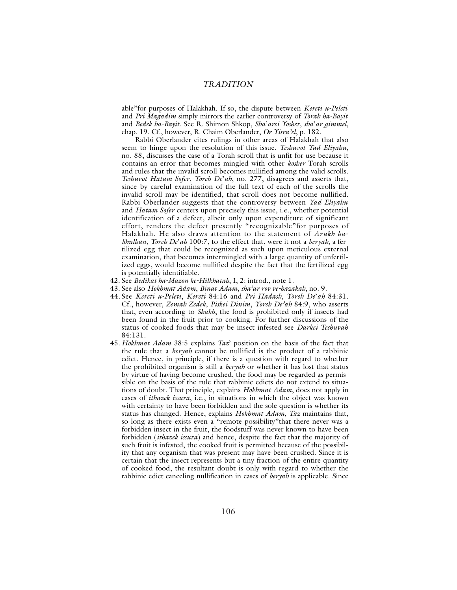able"for purposes of Halakhah. If so, the dispute between *Kereti u-Peleti* and *Pri Magadim* simply mirrors the earlier controversy of *Torah ha-Bayit* and *Bedek ha-Bayit*. See R. Shimon Shkop, *Sha*'*arei Yosher*, *sha*'*ar gimmel*, chap. 19. Cf., however, R. Chaim Oberlander, *Or Yisra'el*, p. 182.

Rabbi Oberlander cites rulings in other areas of Halakhah that also seem to hinge upon the resolution of this issue. *Teshuvot Yad Eliyahu*, no. 88, discusses the case of a Torah scroll that is unfit for use because it contains an error that becomes mingled with other *kosher* Torah scrolls and rules that the invalid scroll becomes nullified among the valid scrolls. *Teshuvot Hatam Sofer*, *Yoreh De*'*ah*, no. 277, disagrees and asserts that, since by careful examination of the full text of each of the scrolls the invalid scroll may be identified, that scroll does not become nullified. Rabbi Oberlander suggests that the controversy between *Yad Eliyahu* and *Hatam Sofer* centers upon precisely this issue, i.e., whether potential identification of a defect, albeit only upon expenditure of significant effort, renders the defect presently "recognizable"for purposes of Halakhah. He also draws attention to the statement of *Arukh ha-Shulhan*, *Yoreh De*'*ah* 100:7, to the effect that, were it not a *beryah*, a fertilized egg that could be recognized as such upon meticulous external examination, that becomes intermingled with a large quantity of unfertilized eggs, would become nullified despite the fact that the fertilized egg is potentially identifiable.

- 42. See *Bedikat ha-Mazon ke-Hilkhatah*, I, 2: introd., note 1.
- 43. See also *Hokhmat Adam*, *Binat Adam*, *sha'ar rov ve-hazakah*, no. 9.
- 44. See *Kereti u-Peleti*, *Kereti* 84:16 and *Pri Hadash*, *Yoreh De*'*ah* 84:31. Cf., however, *Zemah Zedek*, *Piskei Dinim*, *Yoreh De'ah* 84:9, who asserts that, even according to *Shakh*, the food is prohibited only if insects had been found in the fruit prior to cooking. For further discussions of the status of cooked foods that may be insect infested see *Darkei Teshuvah* 84:131.
- 45. *Hokhmat Adam* 38:5 explains *Taz*' position on the basis of the fact that the rule that a *beryah* cannot be nullified is the product of a rabbinic edict. Hence, in principle, if there is a question with regard to whether the prohibited organism is still a *beryah* or whether it has lost that status by virtue of having become crushed, the food may be regarded as permissible on the basis of the rule that rabbinic edicts do not extend to situations of doubt. That principle, explains *Hokhmat Adam*, does not apply in cases of *ithazek issura*, i.e., in situations in which the object was known with certainty to have been forbidden and the sole question is whether its status has changed. Hence, explains *Hokhmat Adam*, *Taz* maintains that, so long as there exists even a "remote possibility"that there never was a forbidden insect in the fruit, the foodstuff was never known to have been forbidden (*ithazek issura*) and hence, despite the fact that the majority of such fruit is infested, the cooked fruit is permitted because of the possibility that any organism that was present may have been crushed. Since it is certain that the insect represents but a tiny fraction of the entire quantity of cooked food, the resultant doubt is only with regard to whether the rabbinic edict canceling nullification in cases of *beryah* is applicable. Since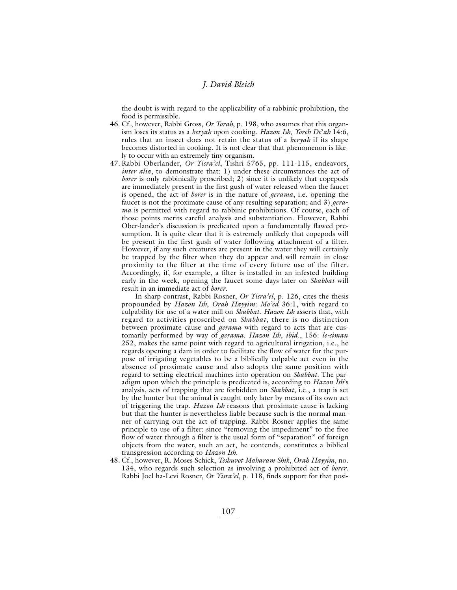the doubt is with regard to the applicability of a rabbinic prohibition, the food is permissible.

- 46. Cf., however, Rabbi Gross, *Or Torah*, p. 198, who assumes that this organism loses its status as a *beryah* upon cooking. *Hazon Ish*, *Yoreh De*'*ah* 14:6, rules that an insect does not retain the status of a *beryah* if its shape becomes distorted in cooking. It is not clear that that phenomenon is likely to occur with an extremely tiny organism.
- 47. Rabbi Oberlander, *Or Yisra'el*, Tishri 5765, pp. 111-115, endeavors, *inter alia*, to demonstrate that: 1) under these circumstances the act of *borer* is only rabbinically proscribed; 2) since it is unlikely that copepods are immediately present in the first gush of water released when the faucet is opened, the act of *borer* is in the nature of *gerama*, i.e. opening the faucet is not the proximate cause of any resulting separation; and 3) *gerama* is permitted with regard to rabbinic prohibitions. Of course, each of those points merits careful analysis and substantiation. However, Rabbi Ober-lander's discussion is predicated upon a fundamentally flawed presumption. It is quite clear that it is extremely unlikely that copepods will be present in the first gush of water following attachment of a filter. However, if any such creatures are present in the water they will certainly be trapped by the filter when they do appear and will remain in close proximity to the filter at the time of every future use of the filter. Accordingly, if, for example, a filter is installed in an infested building early in the week, opening the faucet some days later on *Shabbat* will result in an immediate act of *borer*.

In sharp contrast, Rabbi Rosner, *Or Yisra'el*, p. 126, cites the thesis propounded by *Hazon Ish*, *Orah Hayyim*: *Mo'ed* 36:1, with regard to culpability for use of a water mill on *Shabbat*. *Hazon Ish* asserts that, with regard to activities proscribed on *Shabbat*, there is no distinction between proximate cause and *gerama* with regard to acts that are customarily performed by way of *gerama*. *Hazon Ish*, *ibid*., 156: *le-siman* 252, makes the same point with regard to agricultural irrigation, i.e., he regards opening a dam in order to facilitate the flow of water for the purpose of irrigating vegetables to be a biblically culpable act even in the absence of proximate cause and also adopts the same position with regard to setting electrical machines into operation on *Shabbat*. The paradigm upon which the principle is predicated is, according to *Hazon Ish*'s analysis, acts of trapping that are forbidden on *Shabbat*, i.e., a trap is set by the hunter but the animal is caught only later by means of its own act of triggering the trap. *Hazon Ish* reasons that proximate cause is lacking but that the hunter is nevertheless liable because such is the normal manner of carrying out the act of trapping. Rabbi Rosner applies the same principle to use of a filter: since "removing the impediment" to the free flow of water through a filter is the usual form of "separation" of foreign objects from the water, such an act, he contends, constitutes a biblical transgression according to *Hazon Ish*.

48. Cf., however, R. Moses Schick, *Teshuvot Maharam Shik*, *Orah Hayyim*, no. 134, who regards such selection as involving a prohibited act of *borer*. Rabbi Joel ha-Levi Rosner, *Or Yisra'el*, p. 118, finds support for that posi-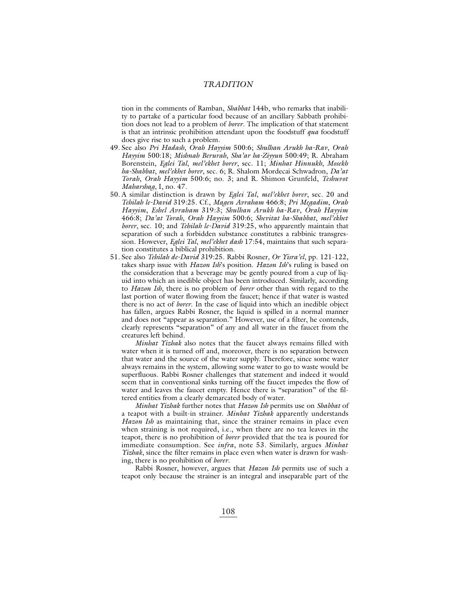tion in the comments of Ramban, *Shabbat* 144b, who remarks that inability to partake of a particular food because of an ancillary Sabbath prohibition does not lead to a problem of *borer*. The implication of that statement is that an intrinsic prohibition attendant upon the foodstuff *qua* foodstuff does give rise to such a problem.

- 49. See also *Pri Hadash*, *Orah Hayyim* 500:6; *Shulhan Arukh ha-Rav*, *Orah Hayyim* 500:18; *Mishnah Berurah*, *Sha'ar ha-Ziyyun* 500:49; R. Abraham Borenstein, *Eglei Tal*, *mel'ekhet borer*, sec. 11; *Minhat Hinnukh*, *Mosekh ha-Shabbat*, *mel'ekhet borer*, sec. 6; R. Shalom Mordecai Schwadron, *Da'at Torah*, *Orah Hayyim* 500:6; no. 3; and R. Shimon Grunfeld, *Teshuvot Maharshag*, I, no. 47.
- 50. A similar distinction is drawn by *Eglei Tal*, *mel'ekhet borer*, sec. 20 and *Tehilah le-David* 319:25. Cf., *Magen Avraham* 466:8; *Pri Megadim*, *Orah Hayyim*, *Eshel Avraham* 319:3; *Shulhan Arukh ha-Rav*, *Orah Hayyim* 466:8; *Da'at Torah*, *Orah Hayyim* 500:6; *Shevitat ha-Shabbat*, *mel'ekhet borer*, sec. 10; and *Tehilah le-David* 319:25, who apparently maintain that separation of such a forbidden substance constitutes a rabbinic transgression. However, *Eglei Tal*, *mel'ekhet dash* 17:54, maintains that such separation constitutes a biblical prohibition.
- 51. See also *Tehilah de-David* 319:25. Rabbi Rosner*, Or Yisra'el*, pp. 121-122, takes sharp issue with *Hazon Ish*'s position. *Hazon Ish*'s ruling is based on the consideration that a beverage may be gently poured from a cup of liquid into which an inedible object has been introduced. Similarly, according to *Hazon Ish*, there is no problem of *borer* other than with regard to the last portion of water flowing from the faucet; hence if that water is wasted there is no act of *borer*. In the case of liquid into which an inedible object has fallen, argues Rabbi Rosner, the liquid is spilled in a normal manner and does not "appear as separation." However, use of a filter, he contends, clearly represents "separation" of any and all water in the faucet from the creatures left behind.

*Minhat Yizhak* also notes that the faucet always remains filled with water when it is turned off and, moreover, there is no separation between that water and the source of the water supply. Therefore, since some water always remains in the system, allowing some water to go to waste would be superfluous. Rabbi Rosner challenges that statement and indeed it would seem that in conventional sinks turning off the faucet impedes the flow of water and leaves the faucet empty. Hence there is "separation" of the filtered entities from a clearly demarcated body of water.

*Minhat Yizhak* further notes that *Hazon Ish* permits use on *Shabbat* of a teapot with a built-in strainer. *Minhat Yizhak* apparently understands *Hazon Ish* as maintaining that, since the strainer remains in place even when straining is not required, i.e., when there are no tea leaves in the teapot, there is no prohibition of *borer* provided that the tea is poured for immediate consumption. See *infra*, note 53. Similarly, argues *Minhat Yizhak*, since the filter remains in place even when water is drawn for washing, there is no prohibition of *borer*.

Rabbi Rosner, however, argues that *Hazon Ish* permits use of such a teapot only because the strainer is an integral and inseparable part of the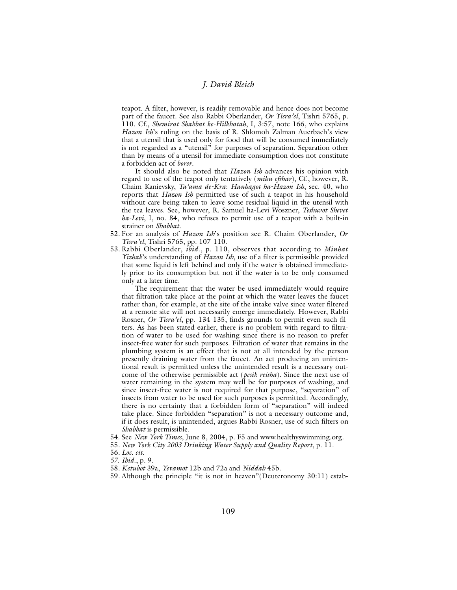teapot. A filter, however, is readily removable and hence does not become part of the faucet. See also Rabbi Oberlander, *Or Yisra'el*, Tishri 5765, p. 110. Cf., *Shemirat Shabbat ke-Hilkhatah*, I, 3:57, note 166, who explains *Hazon Ish*'s ruling on the basis of R. Shlomoh Zalman Auerbach's view that a utensil that is used only for food that will be consumed immediately is not regarded as a "utensil" for purposes of separation. Separation other than by means of a utensil for immediate consumption does not constitute a forbidden act of *borer*.

It should also be noted that *Hazon Ish* advances his opinion with regard to use of the teapot only tentatively (*mihu efshar*), Cf., however, R. Chaim Kanievsky, *Ta'ama de-Kra*: *Hanhagot ha-Hazon Ish*, sec. 40, who reports that *Hazon Ish* permitted use of such a teapot in his household without care being taken to leave some residual liquid in the utensil with the tea leaves. See, however, R. Samuel ha-Levi Woszner, *Teshuvot Shevet ha-Levi*, I, no. 84, who refuses to permit use of a teapot with a built-in strainer on *Shabbat*.

- 52. For an analysis of *Hazon Ish*'s position see R. Chaim Oberlander, *Or Yisra'el*, Tishri 5765, pp. 107-110.
- 53. Rabbi Oberlander, *ibid*., p. 110, observes that according to *Minhat Yizhak*'s understanding of *Hazon Ish*, use of a filter is permissible provided that some liquid is left behind and only if the water is obtained immediately prior to its consumption but not if the water is to be only consumed only at a later time.

The requirement that the water be used immediately would require that filtration take place at the point at which the water leaves the faucet rather than, for example, at the site of the intake valve since water filtered at a remote site will not necessarily emerge immediately. However, Rabbi Rosner, *Or Yisra'el*, pp. 134-135, finds grounds to permit even such filters. As has been stated earlier, there is no problem with regard to filtration of water to be used for washing since there is no reason to prefer insect-free water for such purposes. Filtration of water that remains in the plumbing system is an effect that is not at all intended by the person presently draining water from the faucet. An act producing an unintentional result is permitted unless the unintended result is a necessary outcome of the otherwise permissible act (*pesik reisha*). Since the next use of water remaining in the system may well be for purposes of washing, and since insect-free water is not required for that purpose, "separation" of insects from water to be used for such purposes is permitted. Accordingly, there is no certainty that a forbidden form of "separation" will indeed take place. Since forbidden "separation" is not a necessary outcome and, if it does result, is unintended, argues Rabbi Rosner, use of such filters on *Shabbat* is permissible.

- 54. See *New York Times*, June 8, 2004, p. F5 and www.healthyswimming.org.
- 55. *New York City 2003 Drinking Water Supply and Quality Report*, p. 11.
- 56. *Loc. cit.*
- *57. Ibid*., p. 9.
- 58. *Ketubot* 39a, *Yevamot* 12b and 72a and *Niddah* 45b.
- 59. Although the principle "it is not in heaven"(Deuteronomy 30:11) estab-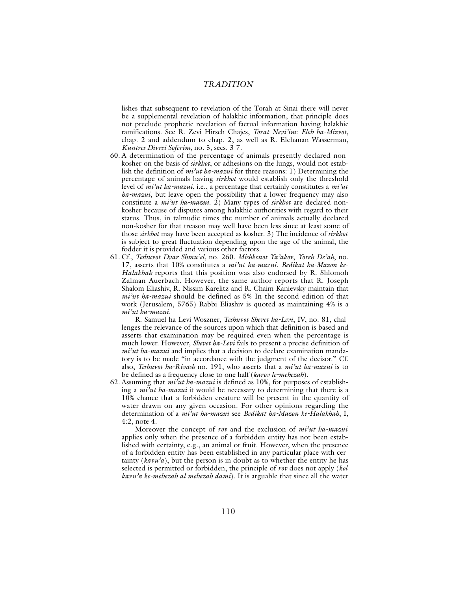lishes that subsequent to revelation of the Torah at Sinai there will never be a supplemental revelation of halakhic information, that principle does not preclude prophetic revelation of factual information having halakhic ramifications. See R. Zevi Hirsch Chajes, *Torat Nevi'im*: *Eleh ha-Mizvot*, chap. 2 and addendum to chap. 2, as well as R. Elchanan Wasserman, *Kuntres Divrei Soferim*, no. 5, secs. 3-7.

- 60. A determination of the percentage of animals presently declared nonkosher on the basis of *sirkhot*, or adhesions on the lungs, would not establish the definition of *mi'ut ha-mazui* for three reasons: 1) Determining the percentage of animals having *sirkhot* would establish only the threshold level of *mi'ut ha-mazui*, i.e., a percentage that certainly constitutes a *mi'ut ha-mazui*, but leave open the possibility that a lower frequency may also constitute a *mi'ut ha-mazui*. 2) Many types of *sirkhot* are declared nonkosher because of disputes among halakhic authorities with regard to their status. Thus, in talmudic times the number of animals actually declared non-kosher for that treason may well have been less since at least some of those *sirkhot* may have been accepted as kosher. 3) The incidence of *sirkhot* is subject to great fluctuation depending upon the age of the animal, the fodder it is provided and various other factors.
- 61. Cf., *Teshuvot Dvar Shmu'el*, no. 260. *Mishkenot Ya'akov*, *Yoreh De'ah*, no. 17, asserts that 10% constitutes a *mi'ut ha-mazui*. *Bedikat ha-Mazon ke-Halakhah* reports that this position was also endorsed by R. Shlomoh Zalman Auerbach. However, the same author reports that R. Joseph Shalom Eliashiv, R. Nissim Karelitz and R. Chaim Kanievsky maintain that *mi'ut ha-mazui* should be defined as 5% In the second edition of that work (Jerusalem, 5765) Rabbi Eliashiv is quoted as maintaining 4% is a *mi'ut ha-mazui*.

R. Samuel ha-Levi Woszner, *Teshuvot Shevet ha-Levi*, IV, no. 81, challenges the relevance of the sources upon which that definition is based and asserts that examination may be required even when the percentage is much lower. However, *Shevet ha-Levi* fails to present a precise definition of *mi'ut ha-mazui* and implies that a decision to declare examination mandatory is to be made "in accordance with the judgment of the decisor." Cf. also, *Teshuvot ha-Rivash* no. 191, who asserts that a *mi'ut ha-mazui* is to be defined as a frequency close to one half (*karov le-mehezah*).

62. Assuming that *mi'ut ha-mazui* is defined as 10%, for purposes of establishing a *mi'ut ha-mazui* it would be necessary to determining that there is a 10% chance that a forbidden creature will be present in the quantity of water drawn on any given occasion. For other opinions regarding the determination of a *mi'ut ha-mazui* see *Bedikat ha-Mazon ke-Halakhah*, I, 4:2, note 4.

Moreover the concept of *rov* and the exclusion of *mi'ut ha-mazui* applies only when the presence of a forbidden entity has not been established with certainty, e.g., an animal or fruit. However, when the presence of a forbidden entity has been established in any particular place with certainty (*kavu'a*), but the person is in doubt as to whether the entity he has selected is permitted or forbidden, the principle of *rov* does not apply (*kol kavu'a ke-mehezah al mehezah dami*). It is arguable that since all the water